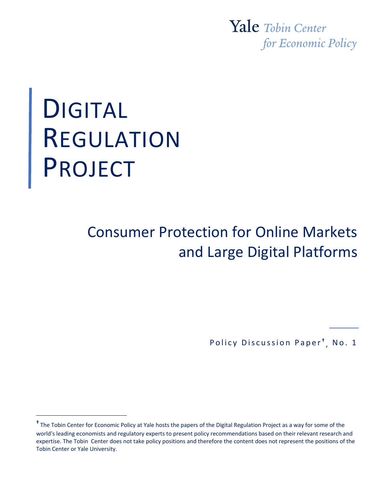Yale Tobin Center for Economic Policy

# DIGITAL REGULATION **PROJECT**

# Consumer Protection for Online Markets and Large Digital Platforms

<sup>1</sup> Policy Discussion Paper **†** , No. 1

**<sup>†</sup>** The Tobin Center for Economic Policy at Yale hosts the papers of the Digital Regulation Project as a way for some of the world's leading economists and regulatory experts to present policy recommendations based on their relevant research and expertise. The Tobin Center does not take policy positions and therefore the content does not represent the positions of the Tobin Center or Yale University.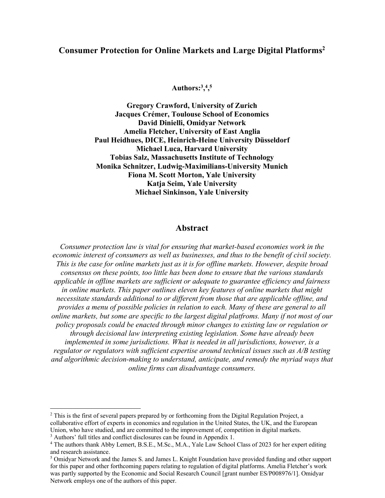# **Consumer Protection for Online Markets and Large Digital Platforms2**

**Authors:3, 4 , 5**

**Gregory Crawford, University of Zurich Jacques Crémer, Toulouse School of Economics David Dinielli, Omidyar Network Amelia Fletcher, University of East Anglia Paul Heidhues, DICE, Heinrich-Heine University Düsseldorf Michael Luca, Harvard University Tobias Salz, Massachusetts Institute of Technology Monika Schnitzer, Ludwig-Maximilians-University Munich Fiona M. Scott Morton, Yale University Katja Seim, Yale University Michael Sinkinson, Yale University**

#### **Abstract**

*Consumer protection law is vital for ensuring that market-based economies work in the economic interest of consumers as well as businesses, and thus to the benefit of civil society. This is the case for online markets just as it is for offline markets. However, despite broad consensus on these points, too little has been done to ensure that the various standards applicable in offline markets are sufficient or adequate to guarantee efficiency and fairness in online markets. This paper outlines eleven key features of online markets that might necessitate standards additional to or different from those that are applicable offline, and provides a menu of possible policies in relation to each. Many of these are general to all online markets, but some are specific to the largest digital platfroms. Many if not most of our policy proposals could be enacted through minor changes to existing law or regulation or through decisional law interpreting existing legislation. Some have already been implemented in some jurisdictions. What is needed in all jurisdictions, however, is a regulator or regulators with sufficient expertise around technical issues such as A/B testing and algorithmic decision-making to understand, anticipate, and remedy the myriad ways that online firms can disadvantage consumers.*

 $2$  This is the first of several papers prepared by or forthcoming from the Digital Regulation Project, a collaborative effort of experts in economics and regulation in the United States, the UK, and the European Union, who have studied, and are committed to the improvement of, competition in digital markets.

<sup>&</sup>lt;sup>3</sup> Authors' full titles and conflict disclosures can be found in Appendix 1.

<sup>4</sup> The authors thank Abby Lemert, B.S.E., M.Sc., M.A., Yale Law School Class of 2023 for her expert editing and research assistance.

<sup>5</sup> Omidyar Network and the James S. and James L. Knight Foundation have provided funding and other support for this paper and other forthcoming papers relating to regulation of digital platforms. Amelia Fletcher's work was partly supported by the Economic and Social Research Council [grant number ES/P008976/1]. Omidyar Network employs one of the authors of this paper.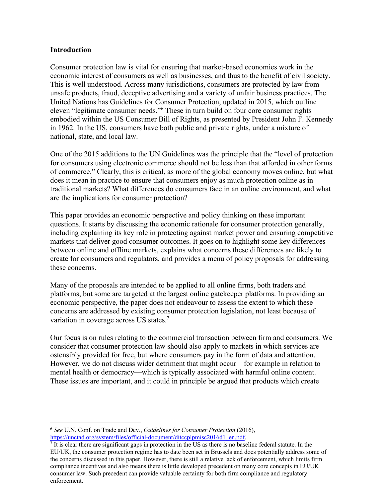#### **Introduction**

Consumer protection law is vital for ensuring that market-based economies work in the economic interest of consumers as well as businesses, and thus to the benefit of civil society. This is well understood. Across many jurisdictions, consumers are protected by law from unsafe products, fraud, deceptive advertising and a variety of unfair business practices. The United Nations has Guidelines for Consumer Protection, updated in 2015, which outline eleven "legitimate consumer needs."6 These in turn build on four core consumer rights embodied within the US Consumer Bill of Rights, as presented by President John F. Kennedy in 1962. In the US, consumers have both public and private rights, under a mixture of national, state, and local law.

One of the 2015 additions to the UN Guidelines was the principle that the "level of protection for consumers using electronic commerce should not be less than that afforded in other forms of commerce." Clearly, this is critical, as more of the global economy moves online, but what does it mean in practice to ensure that consumers enjoy as much protection online as in traditional markets? What differences do consumers face in an online environment, and what are the implications for consumer protection?

This paper provides an economic perspective and policy thinking on these important questions. It starts by discussing the economic rationale for consumer protection generally, including explaining its key role in protecting against market power and ensuring competitive markets that deliver good consumer outcomes. It goes on to highlight some key differences between online and offline markets, explains what concerns these differences are likely to create for consumers and regulators, and provides a menu of policy proposals for addressing these concerns.

Many of the proposals are intended to be applied to all online firms, both traders and platforms, but some are targeted at the largest online gatekeeper platforms. In providing an economic perspective, the paper does not endeavour to assess the extent to which these concerns are addressed by existing consumer protection legislation, not least because of variation in coverage across US states.7

Our focus is on rules relating to the commercial transaction between firm and consumers. We consider that consumer protection law should also apply to markets in which services are ostensibly provided for free, but where consumers pay in the form of data and attention. However, we do not discuss wider detriment that might occur—for example in relation to mental health or democracy—which is typically associated with harmful online content. These issues are important, and it could in principle be argued that products which create

<sup>6</sup> *See* U.N. Conf. on Trade and Dev., *Guidelines for Consumer Protection* (2016),

 $\frac{https://unctad.org/system/files/official-document/ditccplpmisc2016d1_en.pdf}{?}$  It is clear there are significant gaps in protection in the US as there is no baseline federal statute. In the EU/UK, the consumer protection regime has to date been set in Brussels and does potentially address some of the concerns discussed in this paper. However, there is still a relative lack of enforcement, which limits firm compliance incentives and also means there is little developed precedent on many core concepts in EU/UK consumer law. Such precedent can provide valuable certainty for both firm compliance and regulatory enforcement.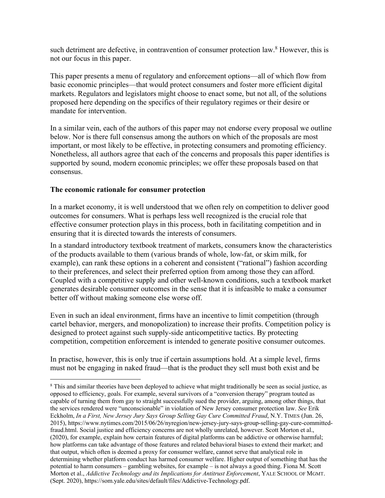such detriment are defective, in contravention of consumer protection law.<sup>8</sup> However, this is not our focus in this paper.

This paper presents a menu of regulatory and enforcement options—all of which flow from basic economic principles—that would protect consumers and foster more efficient digital markets. Regulators and legislators might choose to enact some, but not all, of the solutions proposed here depending on the specifics of their regulatory regimes or their desire or mandate for intervention.

In a similar vein, each of the authors of this paper may not endorse every proposal we outline below. Nor is there full consensus among the authors on which of the proposals are most important, or most likely to be effective, in protecting consumers and promoting efficiency. Nonetheless, all authors agree that each of the concerns and proposals this paper identifies is supported by sound, modern economic principles; we offer these proposals based on that consensus.

#### **The economic rationale for consumer protection**

In a market economy, it is well understood that we often rely on competition to deliver good outcomes for consumers. What is perhaps less well recognized is the crucial role that effective consumer protection plays in this process, both in facilitating competition and in ensuring that it is directed towards the interests of consumers.

In a standard introductory textbook treatment of markets, consumers know the characteristics of the products available to them (various brands of whole, low-fat, or skim milk, for example), can rank these options in a coherent and consistent ("rational") fashion according to their preferences, and select their preferred option from among those they can afford. Coupled with a competitive supply and other well-known conditions, such a textbook market generates desirable consumer outcomes in the sense that it is infeasible to make a consumer better off without making someone else worse off.

Even in such an ideal environment, firms have an incentive to limit competition (through cartel behavior, mergers, and monopolization) to increase their profits. Competition policy is designed to protect against such supply-side anticompetitive tactics. By protecting competition, competition enforcement is intended to generate positive consumer outcomes.

In practise, however, this is only true if certain assumptions hold. At a simple level, firms must not be engaging in naked fraud—that is the product they sell must both exist and be

<sup>&</sup>lt;sup>8</sup> This and similar theories have been deployed to achieve what might traditionally be seen as social justice, as opposed to efficiency, goals. For example, several survivors of a "conversion therapy" program touted as capable of turning them from gay to straight successfully sued the provider, arguing, among other things, that the services rendered were "unconscionable" in violation of New Jersey consumer protection law. *See* Erik Eckholm, *In a First, New Jersey Jury Says Group Selling Gay Cure Committed Fraud*, N.Y. TIMES (Jun. 26, 2015), https://www.nytimes.com/2015/06/26/nyregion/new-jersey-jury-says-group-selling-gay-cure-committedfraud.html. Social justice and efficiency concerns are not wholly unrelated, however. Scott Morton et al., (2020), for example, explain how certain features of digital platforms can be addictive or otherwise harmful; how platforms can take advantage of those features and related behavioral biases to extend their market; and that output, which often is deemed a proxy for consumer welfare, cannot serve that analytical role in determining whether platform conduct has harmed consumer welfare. Higher output of something that has the potential to harm consumers – gambling websites, for example – is not always a good thing. Fiona M. Scott Morton et al., *Addictive Technology and its Implications for Antitrust Enforcement*, YALE SCHOOL OF MGMT. (Sept. 2020), https://som.yale.edu/sites/default/files/Addictive-Technology.pdf.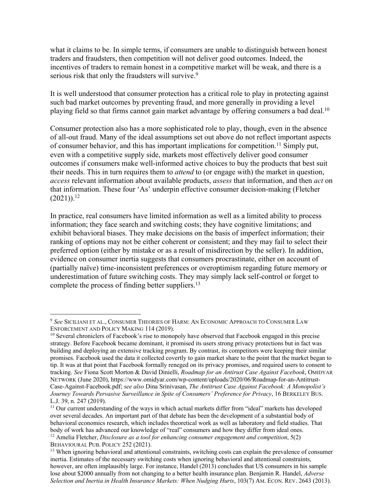what it claims to be. In simple terms, if consumers are unable to distinguish between honest traders and fraudsters, then competition will not deliver good outcomes. Indeed, the incentives of traders to remain honest in a competitive market will be weak, and there is a serious risk that only the fraudsters will survive.<sup>9</sup>

It is well understood that consumer protection has a critical role to play in protecting against such bad market outcomes by preventing fraud, and more generally in providing a level playing field so that firms cannot gain market advantage by offering consumers a bad deal.<sup>10</sup>

Consumer protection also has a more sophisticated role to play, though, even in the absence of all-out fraud. Many of the ideal assumptions set out above do not reflect important aspects of consumer behavior, and this has important implications for competition.<sup>11</sup> Simply put, even with a competitive supply side, markets most effectively deliver good consumer outcomes if consumers make well-informed active choices to buy the products that best suit their needs. This in turn requires them to *attend* to (or engage with) the market in question, *access* relevant information about available products, *assess* that information, and then *act* on that information. These four 'As' underpin effective consumer decision-making (Fletcher  $(2021)$ <sup>12</sup>

In practice, real consumers have limited information as well as a limited ability to process information; they face search and switching costs; they have cognitive limitations; and exhibit behavioral biases. They make decisions on the basis of imperfect information; their ranking of options may not be either coherent or consistent; and they may fail to select their preferred option (either by mistake or as a result of misdirection by the seller). In addition, evidence on consumer inertia suggests that consumers procrastinate, either on account of (partially naïve) time-inconsistent preferences or overoptimism regarding future memory or underestimation of future switching costs. They may simply lack self-control or forget to complete the process of finding better suppliers.<sup>13</sup>

<sup>9</sup> *See* SICILIANI ET AL., CONSUMER THEORIES OF HARM: AN ECONOMIC APPROACH TO CONSUMER LAW ENFORCEMENT AND POLICY MAKING 114 (2019).

<sup>&</sup>lt;sup>10</sup> Several chroniclers of Facebook's rise to monopoly have observed that Facebook engaged in this precise strategy. Before Facebook became dominant, it promised its users strong privacy protections but in fact was building and deploying an extensive tracking program. By contrast, its competitors were keeping their similar promises. Facebook used the data it collected covertly to gain market share to the point that the market began to tip. It was at that point that Facebook formally reneged on its privacy promises, and required users to consent to tracking. *See* Fiona Scott Morton & David Dinielli, *Roadmap for an Antirust Case Against Facebook*, OMIDYAR NETWORK (June 2020), https://www.omidyar.com/wp-content/uploads/2020/06/Roadmap-for-an-Antitrust-Case-Against-Facebook.pdf; *see also* Dina Srinivasan, *The Antitrust Case Against Facebook: A Monopolist's Journey Towards Pervasive Surveillance in Spite of Consumers' Preference for Privacy*, 16 BERKELEY BUS. L.J. 39, n. 247 (2019).

 $11$  Our current understanding of the ways in which actual markets differ from "ideal" markets has developed over several decades. An important part of that debate has been the development of a substantial body of behavioral economics research, which includes theoretical work as well as laboratory and field studies. That body of work has advanced our knowledge of "real" consumers and how they differ from ideal ones.

<sup>12</sup> Amelia Fletcher, *Disclosure as a tool for enhancing consumer engagement and competition*, 5(2) BEHAVIOURAL PUB. POLICY 252 (2021).

<sup>&</sup>lt;sup>13</sup> When ignoring behavioral and attentional constraints, switching costs can explain the prevalence of consumer inertia. Estimates of the necessary switching costs when ignoring behavioral and attentional constraints, however, are often implausibly large. For instance, Handel (2013) concludes that US consumers in his sample lose about \$2000 annually from not changing to a better health insurance plan. Benjamin R. Handel, *Adverse Selection and Inertia in Health Insurance Markets: When Nudging Hurts*, 103(7) AM. ECON. REV. 2643 (2013).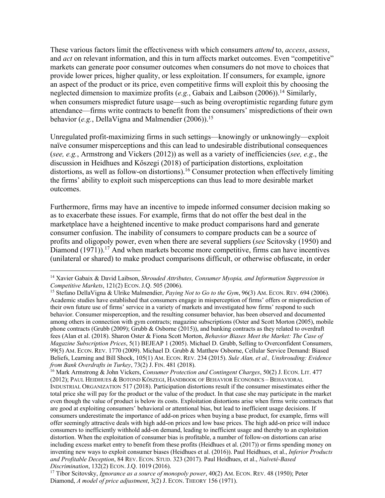These various factors limit the effectiveness with which consumers *attend* to, *access*, *assess*, and *act* on relevant information, and this in turn affects market outcomes. Even "competitive" markets can generate poor consumer outcomes when consumers do not move to choices that provide lower prices, higher quality, or less exploitation. If consumers, for example, ignore an aspect of the product or its price, even competitive firms will exploit this by choosing the neglected dimension to maximize profits (e.g., Gabaix and Laibson (2006)).<sup>14</sup> Similarly, when consumers mispredict future usage—such as being overoptimistic regarding future gym attendance—firms write contracts to benefit from the consumers' mispredictions of their own behavior (*e.g.*, DellaVigna and Malmendier (2006)).<sup>15</sup>

Unregulated profit-maximizing firms in such settings—knowingly or unknowingly—exploit naïve consumer misperceptions and this can lead to undesirable distributional consequences (*see, e.g.*, Armstrong and Vickers (2012)) as well as a variety of inefficiencies (*see, e.g*., the discussion in Heidhues and Kőszegi (2018) of participation distortions, exploitation distortions, as well as follow-on distortions). <sup>16</sup> Consumer protection when effectively limiting the firms' ability to exploit such misperceptions can thus lead to more desirable market outcomes.

Furthermore, firms may have an incentive to impede informed consumer decision making so as to exacerbate these issues. For example, firms that do not offer the best deal in the marketplace have a heightened incentive to make product comparisons hard and generate consumer confusion. The inability of consumers to compare products can be a source of profits and oligopoly power, even when there are several suppliers (*see* Scitovsky (1950) and Diamond (1971)).<sup>17</sup> And when markets become more competitive, firms can have incentives (unilateral or shared) to make product comparisons difficult, or otherwise obfuscate, in order

<sup>14</sup> Xavier Gabaix & David Laibson, *Shrouded Attributes, Consumer Myopia, and Information Suppression in Competitive Markets*, 121(2) ECON. J.Q. 505 (2006).<br><sup>15</sup> Stefano DellaVigna & Ulrike Malmendier, *Paying Not to Go to the Gym*, 96(3) AM. ECON. REV. 694 (2006).

Academic studies have established that consumers engage in misperception of firms' offers or misprediction of their own future use of firms' service in a variety of markets and investigated how firms' respond to such behavior. Consumer misperception, and the resulting consumer behavior, has been observed and documented among others in connection with gym contracts; magazine subscriptions (Oster and Scott Morton (2005), mobile phone contracts (Grubb (2009); Grubb & Osborne (2015)), and banking contracts as they related to overdraft fees (Alan et al. (2018). Sharon Oster & Fiona Scott Morton, *Behavior Biases Meet the Market: The Case of Magazine Subscription Prices*, 5(1) BEJEAP 1 (2005). Michael D. Grubb, Selling to Overconfident Consumers, 99(5) AM. ECON. REV. 1770 (2009). Michael D. Grubb & Matthew Osborne, Cellular Service Demand: Biased Beliefs, Learning and Bill Shock, 105(1) AM. ECON. REV. 234 (2015). *Sule Alan, et al., Unshrouding: Evidence from Bank Overdrafts in Turkey*, 73(2) J. FIN. 481 (2018).<br><sup>16</sup> Mark Armstrong & John Vickers, *Consumer Protection and Contingent Charges*, 50(2) J. ECON. LIT. 477

<sup>(2012);</sup> PAUL HEIDHUES & BOTOND KÖSZEGI, HANDBOOK OF BEHAVIOR ECONOMICS – BEHAVIORAL INDUSTRIAL ORGANIZATION 517 (2018). Participation distortions result if the consumer misestimates either the total price she will pay for the product or the value of the product. In that case she may participate in the market even though the value of product is below its costs. Exploitation distortions arise when firms write contracts that are good at exploiting consumers' behavioral or attentional bias, but lead to inefficient usage decisions. If consumers underestimate the importance of add-on prices when buying a base product, for example, firms will offer seemingly attractive deals with high add-on prices and low base prices. The high add-on price will induce consumers to inefficiently withhold add-on demand, leading to inefficient usage and thereby to an exploitation distortion. When the exploitation of consumer bias is profitable, a number of follow-on distortions can arise including excess market entry to benefit from these profits (Heidhues et al. (2017)) or firms spending money on inventing new ways to exploit consumer biases (Heidhues et al. (2016)). Paul Heidhues, et al., *Inferior Products and Profitable Deception*, 84 REV. ECON. STUD. 323 (2017). Paul Heidhues, et al., *Naïveté-Based Discrimination*, 132(2) ECON. J.Q. 1019 (2016).<br><sup>17</sup> Tibor Scitovsky, *Ignorance as a source of monopoly power*, 40(2) AM. ECON. REV. 48 (1950); Peter

Diamond, *A model of price adjustment*, 3(2) J. ECON. THEORY 156 (1971).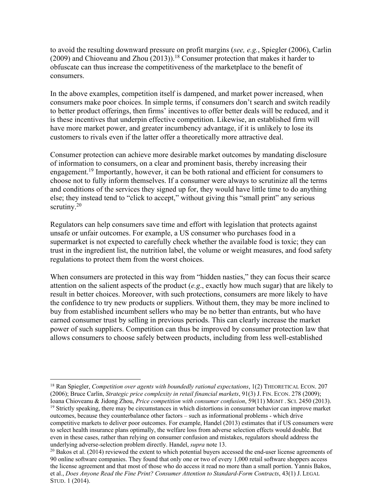to avoid the resulting downward pressure on profit margins (*see, e.g.*, Spiegler (2006), Carlin (2009) and Chioveanu and Zhou (2013)).<sup>18</sup> Consumer protection that makes it harder to obfuscate can thus increase the competitiveness of the marketplace to the benefit of consumers.

In the above examples, competition itself is dampened, and market power increased, when consumers make poor choices. In simple terms, if consumers don't search and switch readily to better product offerings, then firms' incentives to offer better deals will be reduced, and it is these incentives that underpin effective competition. Likewise, an established firm will have more market power, and greater incumbency advantage, if it is unlikely to lose its customers to rivals even if the latter offer a theoretically more attractive deal.

Consumer protection can achieve more desirable market outcomes by mandating disclosure of information to consumers, on a clear and prominent basis, thereby increasing their engagement.<sup>19</sup> Importantly, however, it can be both rational and efficient for consumers to choose not to fully inform themselves. If a consumer were always to scrutinize all the terms and conditions of the services they signed up for, they would have little time to do anything else; they instead tend to "click to accept," without giving this "small print" any serious scrutiny.<sup>20</sup>

Regulators can help consumers save time and effort with legislation that protects against unsafe or unfair outcomes. For example, a US consumer who purchases food in a supermarket is not expected to carefully check whether the available food is toxic; they can trust in the ingredient list, the nutrition label, the volume or weight measures, and food safety regulations to protect them from the worst choices.

When consumers are protected in this way from "hidden nasties," they can focus their scarce attention on the salient aspects of the product (*e.g*., exactly how much sugar) that are likely to result in better choices. Moreover, with such protections, consumers are more likely to have the confidence to try new products or suppliers. Without them, they may be more inclined to buy from established incumbent sellers who may be no better than entrants, but who have earned consumer trust by selling in previous periods. This can clearly increase the market power of such suppliers. Competition can thus be improved by consumer protection law that allows consumers to choose safely between products, including from less well-established

<sup>18</sup> Ran Spiegler, *Competition over agents with boundedly rational expectations*, 1(2) THEORETICAL ECON. 207 (2006); Bruce Carlin, *Strategic price complexity in retail financial markets*, 91(3) J. FIN. ECON. 278 (2009); Ioana Chioveanu & Jidong Zhou, *Price competition with consumer confusion*, 59(11) MGMT . SCI. 2450 (2013).

<sup>&</sup>lt;sup>19</sup> Strictly speaking, there may be circumstances in which distortions in consumer behavior can improve market outcomes, because they counterbalance other factors – such as informational problems - which drive competitive markets to deliver poor outcomes. For example, Handel (2013) estimates that if US consumers were to select health insurance plans optimally, the welfare loss from adverse selection effects would double. But even in these cases, rather than relying on consumer confusion and mistakes, regulators should address the underlying adverse-selection problem directly. Handel, *supra* note 13.<br><sup>20</sup> Bakos et al. (2014) reviewed the extent to which potential buyers accessed the end-user license agreements of

<sup>90</sup> online software companies. They found that only one or two of every 1,000 retail software shoppers access the license agreement and that most of those who do access it read no more than a small portion. Yannis Bakos, et al., *Does Anyone Read the Fine Print? Consumer Attention to Standard-Form Contracts*, 43(1) J. LEGAL STUD. 1 (2014).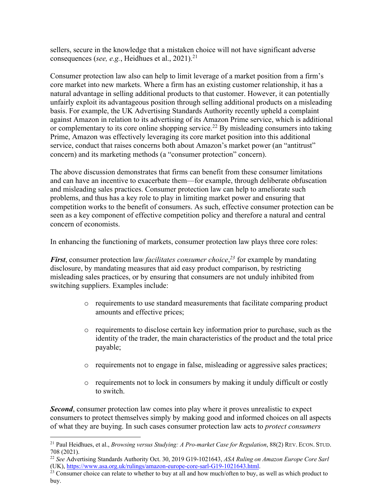sellers, secure in the knowledge that a mistaken choice will not have significant adverse consequences (*see, e.g.*, Heidhues et al., 2021). 21

Consumer protection law also can help to limit leverage of a market position from a firm's core market into new markets. Where a firm has an existing customer relationship, it has a natural advantage in selling additional products to that customer. However, it can potentially unfairly exploit its advantageous position through selling additional products on a misleading basis. For example, the UK Advertising Standards Authority recently upheld a complaint against Amazon in relation to its advertising of its Amazon Prime service, which is additional or complementary to its core online shopping service.<sup>22</sup> By misleading consumers into taking Prime, Amazon was effectively leveraging its core market position into this additional service, conduct that raises concerns both about Amazon's market power (an "antitrust" concern) and its marketing methods (a "consumer protection" concern).

The above discussion demonstrates that firms can benefit from these consumer limitations and can have an incentive to exacerbate them—for example, through deliberate obfuscation and misleading sales practices. Consumer protection law can help to ameliorate such problems, and thus has a key role to play in limiting market power and ensuring that competition works to the benefit of consumers. As such, effective consumer protection can be seen as a key component of effective competition policy and therefore a natural and central concern of economists.

In enhancing the functioning of markets, consumer protection law plays three core roles:

*First*, consumer protection law *facilitates consumer choice*, *<sup>23</sup>* for example by mandating disclosure, by mandating measures that aid easy product comparison, by restricting misleading sales practices, or by ensuring that consumers are not unduly inhibited from switching suppliers. Examples include:

- o requirements to use standard measurements that facilitate comparing product amounts and effective prices;
- $\circ$  requirements to disclose certain key information prior to purchase, such as the identity of the trader, the main characteristics of the product and the total price payable;
- o requirements not to engage in false, misleading or aggressive sales practices;
- o requirements not to lock in consumers by making it unduly difficult or costly to switch.

*Second*, consumer protection law comes into play where it proves unrealistic to expect consumers to protect themselves simply by making good and informed choices on all aspects of what they are buying. In such cases consumer protection law acts to *protect consumers* 

<sup>21</sup> Paul Heidhues, et al., *Browsing versus Studying: A Pro-market Case for Regulation*, 88(2) REV. ECON. STUD. 708 (2021).

<sup>22</sup> *See* Advertising Standards Authority Oct. 30, 2019 G19-1021643, *ASA Ruling on Amazon Europe Core Sarl* (UK), https://www.asa.org.uk/rulings/amazon-europe-core-sarl-G19-1021643.html.

 $^{23}$  Consumer choice can relate to whether to buy at all and how much/often to buy, as well as which product to buy.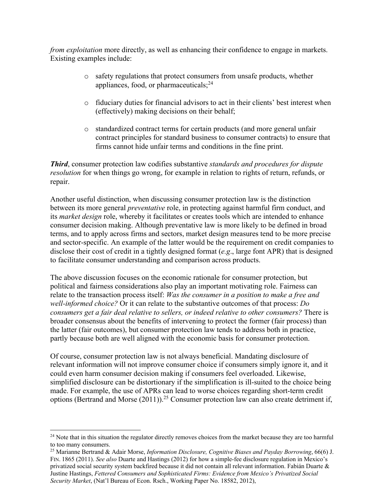*from exploitation* more directly, as well as enhancing their confidence to engage in markets. Existing examples include:

- o safety regulations that protect consumers from unsafe products, whether appliances, food, or pharmaceuticals; $^{24}$
- o fiduciary duties for financial advisors to act in their clients' best interest when (effectively) making decisions on their behalf;
- o standardized contract terms for certain products (and more general unfair contract principles for standard business to consumer contracts) to ensure that firms cannot hide unfair terms and conditions in the fine print.

*Third*, consumer protection law codifies substantive *standards and procedures for dispute resolution* for when things go wrong, for example in relation to rights of return, refunds, or repair.

Another useful distinction, when discussing consumer protection law is the distinction between its more general *preventative* role, in protecting against harmful firm conduct, and its *market design* role, whereby it facilitates or creates tools which are intended to enhance consumer decision making. Although preventative law is more likely to be defined in broad terms, and to apply across firms and sectors, market design measures tend to be more precise and sector-specific. An example of the latter would be the requirement on credit companies to disclose their cost of credit in a tightly designed format (*e.g*., large font APR) that is designed to facilitate consumer understanding and comparison across products.

The above discussion focuses on the economic rationale for consumer protection, but political and fairness considerations also play an important motivating role. Fairness can relate to the transaction process itself: *Was the consumer in a position to make a free and well-informed choice?* Or it can relate to the substantive outcomes of that process: *Do consumers get a fair deal relative to sellers, or indeed relative to other consumers?* There is broader consensus about the benefits of intervening to protect the former (fair process) than the latter (fair outcomes), but consumer protection law tends to address both in practice, partly because both are well aligned with the economic basis for consumer protection.

Of course, consumer protection law is not always beneficial. Mandating disclosure of relevant information will not improve consumer choice if consumers simply ignore it, and it could even harm consumer decision making if consumers feel overloaded. Likewise, simplified disclosure can be distortionary if the simplification is ill-suited to the choice being made. For example, the use of APRs can lead to worse choices regarding short-term credit options (Bertrand and Morse  $(2011)$ ).<sup>25</sup> Consumer protection law can also create detriment if,

 $24$  Note that in this situation the regulator directly removes choices from the market because they are too harmful to too many consumers.

<sup>25</sup> Marianne Bertrand & Adair Morse, *Information Disclosure, Cognitive Biases and Payday Borrowing*, 66(6) J. FIN. 1865 (2011). *See also* Duarte and Hastings (2012) for how a simple-fee disclosure regulation in Mexico's privatized social security system backfired because it did not contain all relevant information. Fabián Duarte & Justine Hastings, *Fettered Consumers and Sophisticated Firms: Evidence from Mexico's Privatized Social Security Market*, (Nat'l Bureau of Econ. Rsch., Working Paper No. 18582, 2012),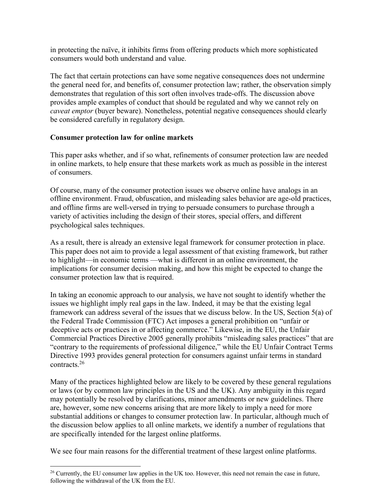in protecting the naïve, it inhibits firms from offering products which more sophisticated consumers would both understand and value.

The fact that certain protections can have some negative consequences does not undermine the general need for, and benefits of, consumer protection law; rather, the observation simply demonstrates that regulation of this sort often involves trade-offs. The discussion above provides ample examples of conduct that should be regulated and why we cannot rely on *caveat emptor* (buyer beware). Nonetheless, potential negative consequences should clearly be considered carefully in regulatory design.

#### **Consumer protection law for online markets**

This paper asks whether, and if so what, refinements of consumer protection law are needed in online markets, to help ensure that these markets work as much as possible in the interest of consumers.

Of course, many of the consumer protection issues we observe online have analogs in an offline environment. Fraud, obfuscation, and misleading sales behavior are age-old practices, and offline firms are well-versed in trying to persuade consumers to purchase through a variety of activities including the design of their stores, special offers, and different psychological sales techniques.

As a result, there is already an extensive legal framework for consumer protection in place. This paper does not aim to provide a legal assessment of that existing framework, but rather to highlight—in economic terms —what is different in an online environment, the implications for consumer decision making, and how this might be expected to change the consumer protection law that is required.

In taking an economic approach to our analysis, we have not sought to identify whether the issues we highlight imply real gaps in the law. Indeed, it may be that the existing legal framework can address several of the issues that we discuss below. In the US, Section 5(a) of the Federal Trade Commission (FTC) Act imposes a general prohibition on "unfair or deceptive acts or practices in or affecting commerce." Likewise, in the EU, the Unfair Commercial Practices Directive 2005 generally prohibits "misleading sales practices" that are "contrary to the requirements of professional diligence," while the EU Unfair Contract Terms Directive 1993 provides general protection for consumers against unfair terms in standard contracts.26

Many of the practices highlighted below are likely to be covered by these general regulations or laws (or by common law principles in the US and the UK). Any ambiguity in this regard may potentially be resolved by clarifications, minor amendments or new guidelines. There are, however, some new concerns arising that are more likely to imply a need for more substantial additions or changes to consumer protection law. In particular, although much of the discussion below applies to all online markets, we identify a number of regulations that are specifically intended for the largest online platforms.

We see four main reasons for the differential treatment of these largest online platforms.

 $26$  Currently, the EU consumer law applies in the UK too. However, this need not remain the case in future, following the withdrawal of the UK from the EU.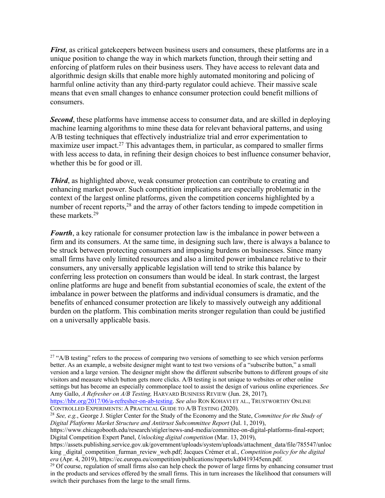*First*, as critical gatekeepers between business users and consumers, these platforms are in a unique position to change the way in which markets function, through their setting and enforcing of platform rules on their business users. They have access to relevant data and algorithmic design skills that enable more highly automated monitoring and policing of harmful online activity than any third-party regulator could achieve. Their massive scale means that even small changes to enhance consumer protection could benefit millions of consumers.

*Second*, these platforms have immense access to consumer data, and are skilled in deploying machine learning algorithms to mine these data for relevant behavioral patterns, and using A/B testing techniques that effectively industrialize trial and error experimentation to maximize user impact.<sup>27</sup> This advantages them, in particular, as compared to smaller firms with less access to data, in refining their design choices to best influence consumer behavior, whether this be for good or ill.

*Third*, as highlighted above, weak consumer protection can contribute to creating and enhancing market power. Such competition implications are especially problematic in the context of the largest online platforms, given the competition concerns highlighted by a number of recent reports,<sup>28</sup> and the array of other factors tending to impede competition in these markets.29

*Fourth*, a key rationale for consumer protection law is the imbalance in power between a firm and its consumers. At the same time, in designing such law, there is always a balance to be struck between protecting consumers and imposing burdens on businesses. Since many small firms have only limited resources and also a limited power imbalance relative to their consumers, any universally applicable legislation will tend to strike this balance by conferring less protection on consumers than would be ideal. In stark contrast, the largest online platforms are huge and benefit from substantial economies of scale, the extent of the imbalance in power between the platforms and individual consumers is dramatic, and the benefits of enhanced consumer protection are likely to massively outweigh any additional burden on the platform. This combination merits stronger regulation than could be justified on a universally applicable basis.

<sup>&</sup>lt;sup>27</sup> "A/B testing" refers to the process of comparing two versions of something to see which version performs better. As an example, a website designer might want to test two versions of a "subscribe button," a small version and a large version. The designer might show the different subscribe buttons to different groups of site visitors and measure which button gets more clicks. A/B testing is not unique to websites or other online settings but has become an especially commonplace tool to assist the design of various online experiences. *See* Amy Gallo, *A Refresher on A/B Testing,* HARVARD BUSINESS REVIEW (Jun. 28, 2017)*,* 

https://hbr.org/2017/06/a-refresher-on-ab-testing. *See also* RON KOHAVI ET AL., TRUSTWORTHY ONLINE CONTROLLED EXPERIMENTS: A PRACTICAL GUIDE TO A/B TESTING (2020).

<sup>28</sup> *See, e.g.*, George J. Stigler Center for the Study of the Economy and the State, *Committee for the Study of Digital Platforms Market Structure and Antitrust Subcommittee Report* (Jul. 1, 2019),

https://www.chicagobooth.edu/research/stigler/news-and-media/committee-on-digital-platforms-final-report; Digital Competition Expert Panel, *Unlocking digital competition* (Mar. 13, 2019),

https://assets.publishing.service.gov.uk/government/uploads/system/uploads/attachment\_data/file/785547/unloc king digital competition furman review web.pdf; Jacques Crémer et al., *Competition policy for the digital era* (Apr. 4, 2019), https://ec.europa.eu/competition/publications/reports/kd0419345enn.pdf.

 $^{29}$  Of course, regulation of small firms also can help check the power of large firms by enhancing consumer trust in the products and services offered by the small firms. This in turn increases the likelihood that consumers will switch their purchases from the large to the small firms.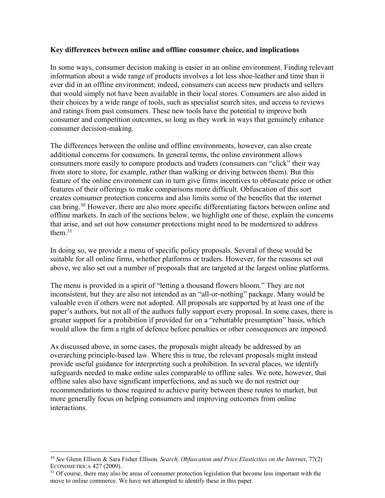#### **Key differences between online and offline consumer choice, and implications**

In some ways, consumer decision making is easier in an online environment. Finding relevant information about a wide range of products involves a lot less shoe-leather and time than it ever did in an offline environment; indeed, consumers can access new products and sellers that would simply not have been available in their local stores. Consumers are also aided in their choices by a wide range of tools, such as specialist search sites, and access to reviews and ratings from past consumers. These new tools have the potential to improve both consumer and competition outcomes, so long as they work in ways that genuinely enhance consumer decision-making.

The differences between the online and offline environments, however, can also create additional concerns for consumers. In general terms, the online environment allows consumers more easily to compare products and traders (consumers can "click" their way from store to store, for example, rather than walking or driving between them). But this feature of the online environment can in turn give firms incentives to obfuscate price or other features of their offerings to make comparisons more difficult. Obfuscation of this sort creates consumer protection concerns and also limits some of the benefits that the internet can bring.30 However, there are also more specific differentiating factors between online and offline markets. In each of the sections below, we highlight one of these, explain the concerns that arise, and set out how consumer protections might need to be modernized to address them. 31

In doing so, we provide a menu of specific policy proposals. Several of these would be suitable for all online firms, whether platforms or traders. However, for the reasons set out above, we also set out a number of proposals that are targeted at the largest online platforms.

The menu is provided in a spirit of "letting a thousand flowers bloom." They are not inconsistent, but they are also not intended as an "all-or-nothing" package. Many would be valuable even if others were not adopted. All proposals are supported by at least one of the paper's authors, but not all of the authors fully support every proposal. In some cases, there is greater support for a prohibition if provided for on a "rebuttable presumption" basis, which would allow the firm a right of defence before penalties or other consequences are imposed.

As discussed above, in some cases, the proposals might already be addressed by an overarching principle-based law. Where this is true, the relevant proposals might instead provide useful guidance for interpreting such a prohibition. In several places, we identify safeguards needed to make online sales comparable to offline sales. We note, however, that offline sales also have significant imperfections, and as such we do not restrict our recommendations to those required to achieve parity between these routes to market, but more generally focus on helping consumers and improving outcomes from online interactions.

<sup>30</sup> *See* Glenn Ellison & Sara Fisher Ellison*, Search, Obfuscation and Price Elasticities on the Internet*, 77(2) ECONOMETRICA 427 (2009).<br><sup>31</sup> Of course, there may also be areas of consumer protection legislation that become less important with the

move to online commerce. We have not attempted to identify these in this paper.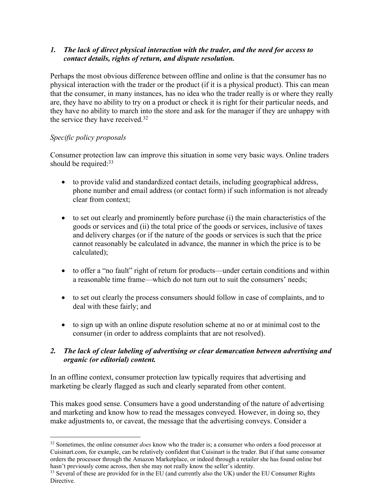# *1. The lack of direct physical interaction with the trader, and the need for access to contact details, rights of return, and dispute resolution.*

Perhaps the most obvious difference between offline and online is that the consumer has no physical interaction with the trader or the product (if it is a physical product). This can mean that the consumer, in many instances, has no idea who the trader really is or where they really are, they have no ability to try on a product or check it is right for their particular needs, and they have no ability to march into the store and ask for the manager if they are unhappy with the service they have received.<sup>32</sup>

# *Specific policy proposals*

Consumer protection law can improve this situation in some very basic ways. Online traders should be required:<sup>33</sup>

- to provide valid and standardized contact details, including geographical address, phone number and email address (or contact form) if such information is not already clear from context;
- to set out clearly and prominently before purchase (i) the main characteristics of the goods or services and (ii) the total price of the goods or services, inclusive of taxes and delivery charges (or if the nature of the goods or services is such that the price cannot reasonably be calculated in advance, the manner in which the price is to be calculated);
- to offer a "no fault" right of return for products—under certain conditions and within a reasonable time frame—which do not turn out to suit the consumers' needs;
- to set out clearly the process consumers should follow in case of complaints, and to deal with these fairly; and
- to sign up with an online dispute resolution scheme at no or at minimal cost to the consumer (in order to address complaints that are not resolved).

# *2. The lack of clear labeling of advertising or clear demarcation between advertising and organic (or editorial) content.*

In an offline context, consumer protection law typically requires that advertising and marketing be clearly flagged as such and clearly separated from other content.

This makes good sense. Consumers have a good understanding of the nature of advertising and marketing and know how to read the messages conveyed. However, in doing so, they make adjustments to, or caveat, the message that the advertising conveys. Consider a

<sup>&</sup>lt;sup>32</sup> Sometimes, the online consumer *does* know who the trader is; a consumer who orders a food processor at Cuisinart.com, for example, can be relatively confident that Cuisinart is the trader. But if that same consumer orders the processor through the Amazon Marketplace, or indeed through a retailer she has found online but hasn't previously come across, then she may not really know the seller's identity.<br><sup>33</sup> Several of these are provided for in the EU (and currently also the UK) under the EU Consumer Rights

Directive.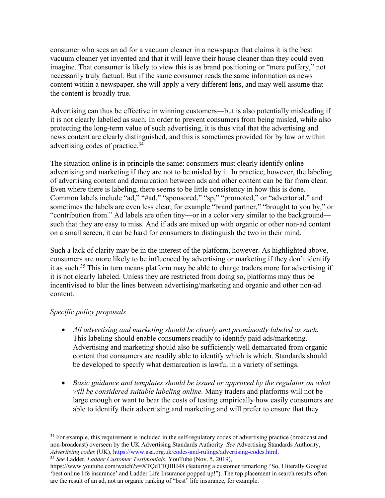consumer who sees an ad for a vacuum cleaner in a newspaper that claims it is the best vacuum cleaner yet invented and that it will leave their house cleaner than they could even imagine. That consumer is likely to view this is as brand positioning or "mere puffery," not necessarily truly factual. But if the same consumer reads the same information as news content within a newspaper, she will apply a very different lens, and may well assume that the content is broadly true.

Advertising can thus be effective in winning customers—but is also potentially misleading if it is not clearly labelled as such. In order to prevent consumers from being misled, while also protecting the long-term value of such advertising, it is thus vital that the advertising and news content are clearly distinguished, and this is sometimes provided for by law or within advertising codes of practice. 34

The situation online is in principle the same: consumers must clearly identify online advertising and marketing if they are not to be misled by it. In practice, however, the labeling of advertising content and demarcation between ads and other content can be far from clear. Even where there is labeling, there seems to be little consistency in how this is done. Common labels include "ad," "#ad," "sponsored," "sp," "promoted," or "advertorial," and sometimes the labels are even less clear, for example "brand partner," "brought to you by," or "contribution from." Ad labels are often tiny—or in a color very similar to the background such that they are easy to miss. And if ads are mixed up with organic or other non-ad content on a small screen, it can be hard for consumers to distinguish the two in their mind.

Such a lack of clarity may be in the interest of the platform, however. As highlighted above, consumers are more likely to be influenced by advertising or marketing if they don't identify it as such. <sup>35</sup> This in turn means platform may be able to charge traders more for advertising if it is not clearly labeled. Unless they are restricted from doing so, platforms may thus be incentivised to blur the lines between advertising/marketing and organic and other non-ad content.

# *Specific policy proposals*

- *All advertising and marketing should be clearly and prominently labeled as such.*  This labeling should enable consumers readily to identify paid ads/marketing. Advertising and marketing should also be sufficiently well demarcated from organic content that consumers are readily able to identify which is which. Standards should be developed to specify what demarcation is lawful in a variety of settings.
- *Basic guidance and templates should be issued or approved by the regulator on what will be considered suitable labeling online.* Many traders and platforms will not be large enough or want to bear the costs of testing empirically how easily consumers are able to identify their advertising and marketing and will prefer to ensure that they

<sup>&</sup>lt;sup>34</sup> For example, this requirement is included in the self-regulatory codes of advertising practice (broadcast and non-broadcast) overseen by the UK Advertising Standards Authority. *See* Advertising Standards Authority, *Advertising codes* (UK), https://www.asa.org.uk/codes-and-rulings/advertising-codes.html. 35 *See* Ladder, *Ladder Customer Testimonials*, YouTube (Nov. 5, 2019),

https://www.youtube.com/watch?v=XTQdT1QBH48 (featuring a customer remarking "So, I literally Googled 'best online life insurance' and Ladder Life Insurance popped up!"). The top placement in search results often are the result of an ad, not an organic ranking of "best" life insurance, for example.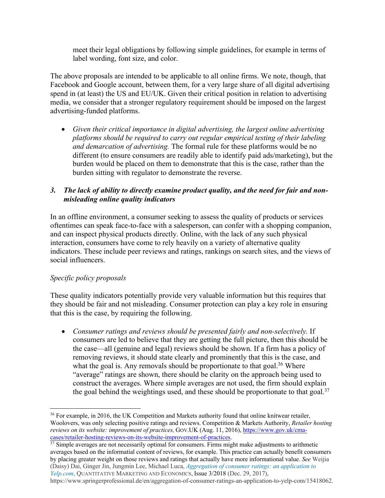meet their legal obligations by following simple guidelines, for example in terms of label wording, font size, and color.

The above proposals are intended to be applicable to all online firms. We note, though, that Facebook and Google account, between them, for a very large share of all digital advertising spend in (at least) the US and EU/UK. Given their critical position in relation to advertising media, we consider that a stronger regulatory requirement should be imposed on the largest advertising-funded platforms.

• *Given their critical importance in digital advertising, the largest online advertising platforms should be required to carry out regular empirical testing of their labeling and demarcation of advertising.* The formal rule for these platforms would be no different (to ensure consumers are readily able to identify paid ads/marketing), but the burden would be placed on them to demonstrate that this is the case, rather than the burden sitting with regulator to demonstrate the reverse.

# *3. The lack of ability to directly examine product quality, and the need for fair and nonmisleading online quality indicators*

In an offline environment, a consumer seeking to assess the quality of products or services oftentimes can speak face-to-face with a salesperson, can confer with a shopping companion, and can inspect physical products directly. Online, with the lack of any such physical interaction, consumers have come to rely heavily on a variety of alternative quality indicators. These include peer reviews and ratings, rankings on search sites, and the views of social influencers.

# *Specific policy proposals*

These quality indicators potentially provide very valuable information but this requires that they should be fair and not misleading. Consumer protection can play a key role in ensuring that this is the case, by requiring the following.

• *Consumer ratings and reviews should be presented fairly and non-selectively.* If consumers are led to believe that they are getting the full picture, then this should be the case—all (genuine and legal) reviews should be shown. If a firm has a policy of removing reviews, it should state clearly and prominently that this is the case, and what the goal is. Any removals should be proportionate to that goal.<sup>36</sup> Where "average" ratings are shown, there should be clarity on the approach being used to construct the averages. Where simple averages are not used, the firm should explain the goal behind the weightings used, and these should be proportionate to that goal.<sup>37</sup>

https://www.springerprofessional.de/en/aggregation-of-consumer-ratings-an-application-to-yelp-com/15418062.

<sup>&</sup>lt;sup>36</sup> For example, in 2016, the UK Competition and Markets authority found that online knitwear retailer, Woolovers, was only selecting positive ratings and reviews. Competition & Markets Authority, *Retailer hosting reviews on its website: improvement of practices,* GOV.UK (Aug. 11, 2016), https://www.gov.uk/cmacases/retailer-hosting-reviews-on-its-website-improvement-of-practices. 37 Simple averages are not necessarily optimal for consumers. Firms might make adjustments to arithmetic

averages based on the informatial content of reviews, for example. This practice can actually benefit consumers by placing greater weight on those reviews and ratings that actually have more informational value. *See* Weijia (Daisy) Dai, Ginger Jin, Jungmin Lee, Michael Luca, *Aggregation of consumer ratings: an application to Yelp.com*, QUANTITATIVE MARKETING AND ECONOMICS, Issue 3/2018 (Dec. 29, 2017),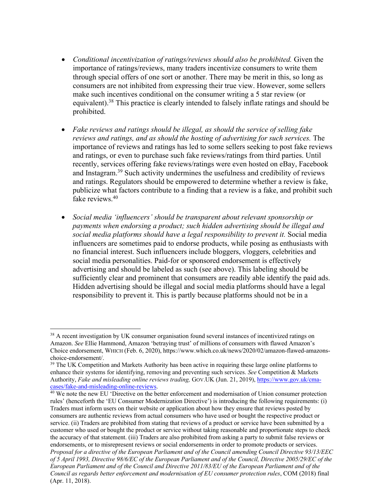- *Conditional incentivization of ratings/reviews should also be prohibited.* Given the importance of ratings/reviews, many traders incentivize consumers to write them through special offers of one sort or another. There may be merit in this, so long as consumers are not inhibited from expressing their true view. However, some sellers make such incentives conditional on the consumer writing a 5 star review (or equivalent).38 This practice is clearly intended to falsely inflate ratings and should be prohibited.
- *Fake reviews and ratings should be illegal, as should the service of selling fake reviews and ratings, and as should the hosting of advertising for such services.* The importance of reviews and ratings has led to some sellers seeking to post fake reviews and ratings, or even to purchase such fake reviews/ratings from third parties. Until recently, services offering fake reviews/ratings were even hosted on eBay, Facebook and Instagram.39 Such activity undermines the usefulness and credibility of reviews and ratings. Regulators should be empowered to determine whether a review is fake, publicize what factors contribute to a finding that a review is a fake, and prohibit such fake reviews. 40
- *Social media 'influencers' should be transparent about relevant sponsorship or payments when endorsing a product; such hidden advertising should be illegal and social media platforms should have a legal responsibility to prevent it.* Social media influencers are sometimes paid to endorse products, while posing as enthusiasts with no financial interest. Such influencers include bloggers, vloggers, celebrities and social media personalities. Paid-for or sponsored endorsement is effectively advertising and should be labeled as such (see above). This labeling should be sufficiently clear and prominent that consumers are readily able identify the paid ads. Hidden advertising should be illegal and social media platforms should have a legal responsibility to prevent it. This is partly because platforms should not be in a

<sup>&</sup>lt;sup>38</sup> A recent investigation by UK consumer organisation found several instances of incentivized ratings on Amazon. *See* Ellie Hammond, Amazon 'betraying trust' of millions of consumers with flawed Amazon's Choice endorsement, WHICH (Feb. 6, 2020), https://www.which.co.uk/news/2020/02/amazon-flawed-amazonschoice-endorsement/.

<sup>&</sup>lt;sup>39</sup> The UK Competition and Markets Authority has been active in requiring these large online platforms to enhance their systems for identifying, removing and preventing such services. *See* Competition & Markets Authority, *Fake and misleading online reviews trading,* GOV.UK (Jun. 21, 2019), https://www.gov.uk/cma-

cases/fake-and-misleading-online-reviews. 40 We note the new EU 'Directive on the better enforcement and modernisation of Union consumer protection rules' (henceforth the 'EU Consumer Modernization Directive') is introducing the following requirements: (i) Traders must inform users on their website or application about how they ensure that reviews posted by consumers are authentic reviews from actual consumers who have used or bought the respective product or service. (ii) Traders are prohibited from stating that reviews of a product or service have been submitted by a customer who used or bought the product or service without taking reasonable and proportionate steps to check the accuracy of that statement. (iii) Traders are also prohibited from asking a party to submit false reviews or endorsements, or to misrepresent reviews or social endorsements in order to promote products or services. *Proposal for a directive of the European Parliament and of the Council amending Council Directive 93/13/EEC of 5 April 1993, Directive 98/6/EC of the European Parliament and of the Council, Directive 2005/29/EC of the European Parliament and of the Council and Directive 2011/83/EU of the European Parliament and of the Council as regards better enforcement and modernisation of EU consumer protection rules*, COM (2018) final (Apr. 11, 2018).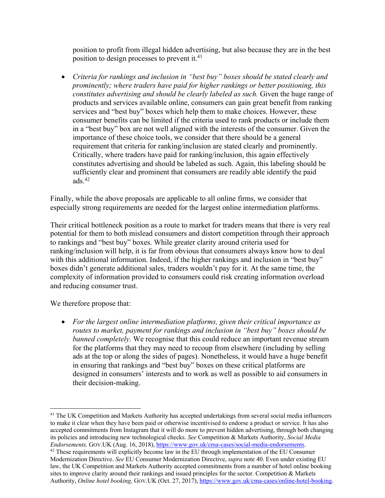position to profit from illegal hidden advertising, but also because they are in the best position to design processes to prevent it.<sup>41</sup>

• *Criteria for rankings and inclusion in "best buy" boxes should be stated clearly and prominently; where traders have paid for higher rankings or better positioning, this constitutes advertising and should be clearly labeled as such.* Given the huge range of products and services available online, consumers can gain great benefit from ranking services and "best buy" boxes which help them to make choices. However, these consumer benefits can be limited if the criteria used to rank products or include them in a "best buy" box are not well aligned with the interests of the consumer. Given the importance of these choice tools, we consider that there should be a general requirement that criteria for ranking/inclusion are stated clearly and prominently. Critically, where traders have paid for ranking/inclusion, this again effectively constitutes advertising and should be labeled as such. Again, this labeling should be sufficiently clear and prominent that consumers are readily able identify the paid ads. $42$ 

Finally, while the above proposals are applicable to all online firms, we consider that especially strong requirements are needed for the largest online intermediation platforms.

Their critical bottleneck position as a route to market for traders means that there is very real potential for them to both mislead consumers and distort competition through their approach to rankings and "best buy" boxes. While greater clarity around criteria used for ranking/inclusion will help, it is far from obvious that consumers always know how to deal with this additional information. Indeed, if the higher rankings and inclusion in "best buy" boxes didn't generate additional sales, traders wouldn't pay for it. At the same time, the complexity of information provided to consumers could risk creating information overload and reducing consumer trust.

We therefore propose that:

• *For the largest online intermediation platforms, given their critical importance as routes to market, payment for rankings and inclusion in "best buy" boxes should be banned completely.* We recognise that this could reduce an important revenue stream for the platforms that they may need to recoup from elsewhere (including by selling ads at the top or along the sides of pages). Nonetheless, it would have a huge benefit in ensuring that rankings and "best buy" boxes on these critical platforms are designed in consumers' interests and to work as well as possible to aid consumers in their decision-making.

<sup>&</sup>lt;sup>41</sup> The UK Competition and Markets Authority has accepted undertakings from several social media influencers to make it clear when they have been paid or otherwise incentivised to endorse a product or service. It has also accepted commitments from Instagram that it will do more to prevent hidden advertising, through both changing its policies and introducing new technological checks. *See* Competition & Markets Authority, *Social Media* 

*Endorsements,* GOV.UK (Aug. 16, 2018), *https://www.gov.uk/cma-cases/social-media-endorsements*. <sup>42</sup> These requirements will explicitly become law in the EU through implementation of the EU Consumer Modernization Directive. *See* EU Consumer Modernization Directive, *supra* note 40. Even under existing EU law, the UK Competition and Markets Authority accepted commitments from a number of hotel online booking sites to improve clarity around their rankings and issued principles for the sector. Competition & Markets Authority, *Online hotel booking*, GOV.UK (Oct. 27, 2017), https://www.gov.uk/cma-cases/online-hotel-booking.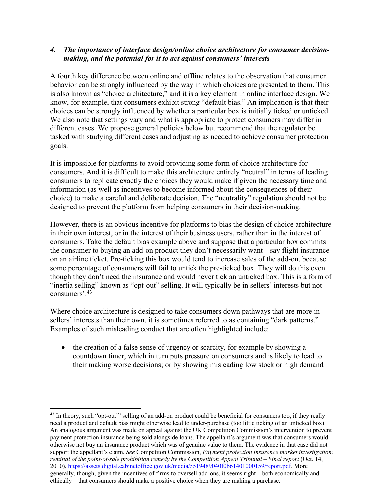# *4. The importance of interface design/online choice architecture for consumer decisionmaking, and the potential for it to act against consumers' interests*

A fourth key difference between online and offline relates to the observation that consumer behavior can be strongly influenced by the way in which choices are presented to them. This is also known as "choice architecture," and it is a key element in online interface design. We know, for example, that consumers exhibit strong "default bias." An implication is that their choices can be strongly influenced by whether a particular box is initially ticked or unticked. We also note that settings vary and what is appropriate to protect consumers may differ in different cases. We propose general policies below but recommend that the regulator be tasked with studying different cases and adjusting as needed to achieve consumer protection goals.

It is impossible for platforms to avoid providing some form of choice architecture for consumers. And it is difficult to make this architecture entirely "neutral" in terms of leading consumers to replicate exactly the choices they would make if given the necessary time and information (as well as incentives to become informed about the consequences of their choice) to make a careful and deliberate decision. The "neutrality" regulation should not be designed to prevent the platform from helping consumers in their decision-making.

However, there is an obvious incentive for platforms to bias the design of choice architecture in their own interest, or in the interest of their business users, rather than in the interest of consumers. Take the default bias example above and suppose that a particular box commits the consumer to buying an add-on product they don't necessarily want—say flight insurance on an airline ticket. Pre-ticking this box would tend to increase sales of the add-on, because some percentage of consumers will fail to untick the pre-ticked box. They will do this even though they don't need the insurance and would never tick an unticked box. This is a form of "inertia selling" known as "opt-out" selling. It will typically be in sellers' interests but not consumers'. 43

Where choice architecture is designed to take consumers down pathways that are more in sellers' interests than their own, it is sometimes referred to as containing "dark patterns." Examples of such misleading conduct that are often highlighted include:

• the creation of a false sense of urgency or scarcity, for example by showing a countdown timer, which in turn puts pressure on consumers and is likely to lead to their making worse decisions; or by showing misleading low stock or high demand

<sup>&</sup>lt;sup>43</sup> In theory, such "opt-out" selling of an add-on product could be beneficial for consumers too, if they really need a product and default bias might otherwise lead to under-purchase (too little ticking of an unticked box). An analogous argument was made on appeal against the UK Competition Commission's intervention to prevent payment protection insurance being sold alongside loans. The appellant's argument was that consumers would otherwise not buy an insurance product which was of genuine value to them. The evidence in that case did not support the appellant's claim. *See* Competiton Commission, *Payment protection insurance market investigation: remittal of the point-of-sale prohibition remedy by the Competition Appeal Tribunal – Final report* (Oct. 14, 2010), https://assets.digital.cabinetoffice.gov.uk/media/5519489040f0b61401000159/report.pdf. More generally, though, given the incentives of firms to oversell add-ons, it seems right—both economically and ethically—that consumers should make a positive choice when they are making a purchase.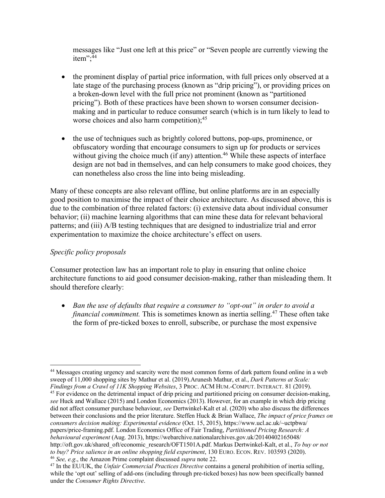messages like "Just one left at this price" or "Seven people are currently viewing the item"; 44

- the prominent display of partial price information, with full prices only observed at a late stage of the purchasing process (known as "drip pricing"), or providing prices on a broken-down level with the full price not prominent (known as "partitioned pricing"). Both of these practices have been shown to worsen consumer decisionmaking and in particular to reduce consumer search (which is in turn likely to lead to worse choices and also harm competition); 45
- the use of techniques such as brightly colored buttons, pop-ups, prominence, or obfuscatory wording that encourage consumers to sign up for products or services without giving the choice much (if any) attention.<sup>46</sup> While these aspects of interface design are not bad in themselves, and can help consumers to make good choices, they can nonetheless also cross the line into being misleading.

Many of these concepts are also relevant offline, but online platforms are in an especially good position to maximise the impact of their choice architecture. As discussed above, this is due to the combination of three related factors: (i) extensive data about individual consumer behavior; (ii) machine learning algorithms that can mine these data for relevant behavioral patterns; and (iii) A/B testing techniques that are designed to industrialize trial and error experimentation to maximize the choice architecture's effect on users.

# *Specific policy proposals*

Consumer protection law has an important role to play in ensuring that online choice architecture functions to aid good consumer decision-making, rather than misleading them. It should therefore clearly:

• *Ban the use of defaults that require a consumer to "opt-out" in order to avoid a financial commitment*. This is sometimes known as inertia selling.<sup>47</sup> These often take the form of pre-ticked boxes to enroll, subscribe, or purchase the most expensive

<sup>&</sup>lt;sup>44</sup> Messages creating urgency and scarcity were the most common forms of dark pattern found online in a web sweep of 11,000 shopping sites by Mathur et al. (2019).Arunesh Mathur, et al., *Dark Patterns at Scale: Findings from a Crawl of 11K Shopping Websites*, 3 PROC. ACM HUM.-COMPUT. INTERACT. 81 (2019).

<sup>&</sup>lt;sup>45</sup> For evidence on the detrimental impact of drip pricing and partitioned pricing on consumer decision-making, *see* Huck and Wallace (2015) and London Economics (2013). However, for an example in which drip pricing did not affect consumer purchase behaviour, *see* Dertwinkel-Kalt et al. (2020) who also discuss the differences between their conclusions and the prior literature. Steffen Huck & Brian Wallace, *The impact of price frames on consumers decision making: Experimental evidence* (Oct. 15, 2015), https://www.ucl.ac.uk/~uctpbwa/ papers/price-framing.pdf. London Economics Office of Fair Trading, *Partiitioned Pricing Research: A behavioural experiment* (Aug. 2013), https://webarchive.nationalarchives.gov.uk/20140402165048/ http://oft.gov.uk/shared\_oft/economic\_research/OFT1501A.pdf. Markus Dertwinkel-Kalt, et al., *To buy or not to buy? Price salience in an online shopping field experiment*, 130 EURO. ECON. REV. 103593 (2020). 46 *See, e.g*., the Amazon Prime complaint discussed *supra* note 22.

<sup>47</sup> In the EU/UK, the *Unfair Commercial Practices Directive* contains a general prohibition of inertia selling, while the 'opt out' selling of add-ons (including through pre-ticked boxes) has now been specifically banned under the *Consumer Rights Directive*.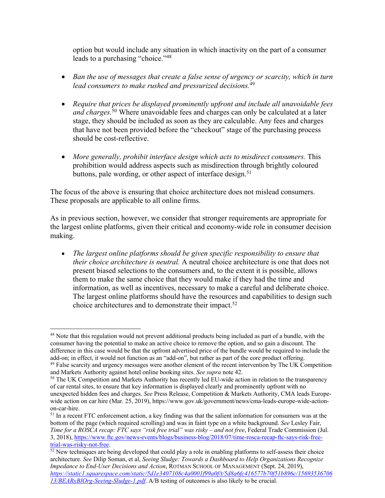option but would include any situation in which inactivity on the part of a consumer leads to a purchasing "choice."<sup>48</sup>

- *Ban the use of messages that create a false sense of urgency or scarcity, which in turn lead consumers to make rushed and pressurized decisions.*<sup>49</sup>
- *Require that prices be displayed prominently upfront and include all unavoidable fees and charges.* <sup>50</sup> Where unavoidable fees and charges can only be calculated at a later stage, they should be included as soon as they are calculable. Any fees and charges that have not been provided before the "checkout" stage of the purchasing process should be cost-reflective.
- *More generally, prohibit interface design which acts to misdirect consumers.* This prohibition would address aspects such as misdirection through brightly coloured buttons, pale wording, or other aspect of interface design.<sup>51</sup>

The focus of the above is ensuring that choice architecture does not mislead consumers. These proposals are applicable to all online firms.

As in previous section, however, we consider that stronger requirements are appropriate for the largest online platforms, given their critical and economy-wide role in consumer decision making.

• The largest online platforms should be given specific responsibility to ensure that *their choice architecture is neutral.* A neutral choice architecture is one that does not present biased selections to the consumers and, to the extent it is possible, allows them to make the same choice that they would make if they had the time and information, as well as incentives, necessary to make a careful and deliberate choice. The largest online platforms should have the resources and capabilities to design such choice architectures and to demonstrate their impact.<sup>52</sup>

<sup>&</sup>lt;sup>48</sup> Note that this regulation would not prevent additional products being included as part of a bundle, with the consumer having the potential to make an active choice to remove the option, and so gain a discount. The difference in this case would be that the upfront advertised price of the bundle would be required to include the add-on; in effect, it would not function as an "add-on", but rather as part of the core product offering.

<sup>&</sup>lt;sup>49</sup> False scarcity and urgency messages were another element of the recent intervention by The UK Competition and Markets Authority against hotel online booking sites. *See supra* note 42.

<sup>&</sup>lt;sup>50</sup> The UK Competition and Markets Authority has recently led EU-wide action in relation to the transparency of car rental sites, to ensure that key information is displayed clearly and prominently upfront with no unexpected hidden fees and charges. *See* Press Release, Competition & Markets Authority, CMA leads Europewide action on car hire (Mar. 25, 2019), https://www.gov.uk/government/news/cma-leads-europe-wide-actionon-car-hire.

<sup>&</sup>lt;sup>51</sup> In a recent FTC enforcement action, a key finding was that the salient information for consumers was at the bottom of the page (which required scrolling) and was in faint type on a white background. *See* Lesley Fair, *Time for a ROSCA recap: FTC says "risk free trial" was risky – and not free*, Federal Trade Commission (Jul. 3, 2018), https://www.ftc.gov/news-events/blogs/business-blog/2018/07/time-rosca-recap-ftc-says-risk-freetrial-was-risky-not-free.

<sup>&</sup>lt;sup>52</sup> New techniques are being developed that could play a role in enabling platforms to self-assess their choice architecture. *See* Dilip Soman, et al, *Seeing Sludge: Towards a Dashboard to Help Organizations Recognize Impedance to End-User Decisions and Action*, ROTMAN SCHOOL OF MANAGEMENT (Sept. 24, 2019), *https://static1.squarespace.com/static/5d1e3407108c4a0001f99a0f/t/5d8a6fc416577b70f51b896c/15693536706 13/BEARxBIOrg-Seeing-Sludge-1.pdf*. A/B testing of outcomes is also likely to be crucial.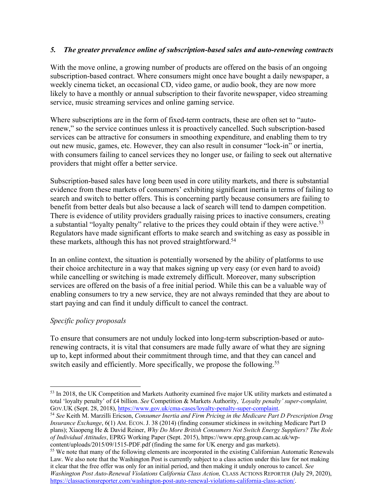# *5. The greater prevalence online of subscription-based sales and auto-renewing contracts*

With the move online, a growing number of products are offered on the basis of an ongoing subscription-based contract. Where consumers might once have bought a daily newspaper, a weekly cinema ticket, an occasional CD, video game, or audio book, they are now more likely to have a monthly or annual subscription to their favorite newspaper, video streaming service, music streaming services and online gaming service.

Where subscriptions are in the form of fixed-term contracts, these are often set to "autorenew," so the service continues unless it is proactively cancelled. Such subscription-based services can be attractive for consumers in smoothing expenditure, and enabling them to try out new music, games, etc. However, they can also result in consumer "lock-in" or inertia, with consumers failing to cancel services they no longer use, or failing to seek out alternative providers that might offer a better service.

Subscription-based sales have long been used in core utility markets, and there is substantial evidence from these markets of consumers' exhibiting significant inertia in terms of failing to search and switch to better offers. This is concerning partly because consumers are failing to benefit from better deals but also because a lack of search will tend to dampen competition. There is evidence of utility providers gradually raising prices to inactive consumers, creating a substantial "loyalty penalty" relative to the prices they could obtain if they were active.<sup>53</sup> Regulators have made significant efforts to make search and switching as easy as possible in these markets, although this has not proved straightforward.<sup>54</sup>

In an online context, the situation is potentially worsened by the ability of platforms to use their choice architecture in a way that makes signing up very easy (or even hard to avoid) while cancelling or switching is made extremely difficult. Moreover, many subscription services are offered on the basis of a free initial period. While this can be a valuable way of enabling consumers to try a new service, they are not always reminded that they are about to start paying and can find it unduly difficult to cancel the contract.

# *Specific policy proposals*

To ensure that consumers are not unduly locked into long-term subscription-based or autorenewing contracts, it is vital that consumers are made fully aware of what they are signing up to, kept informed about their commitment through time, and that they can cancel and switch easily and efficiently. More specifically, we propose the following.<sup>55</sup>

<sup>53</sup> In 2018, the UK Competition and Markets Authority examined five major UK utility markets and estimated a total 'loyalty penalty' of £4 billion. *See* Competition & Markets Authority, *'Loyalty penalty' super-complaint,* 

<sup>&</sup>lt;sup>54</sup> See Keith M. Marzilli Ericson, *Consumer Inertia and Firm Pricing in the Medicare Part D Prescription Drug Insurance Exchange*, 6(1) AM. ECON. J. 38 (2014) (finding consumer stickiness in switching Medicare Part D plans); Xiaopeng He & David Reiner, *Why Do More British Consumers Not Switch Energy Suppliers? The Role of Individual Attitudes*, EPRG Working Paper (Sept. 2015), https://www.eprg.group.cam.ac.uk/wp-

<sup>&</sup>lt;sup>55</sup> We note that many of the following elements are incorporated in the existing Californian Automatic Renewals Law. We also note that the Washington Post is currently subject to a class action under this law for not making it clear that the free offer was only for an initial period, and then making it unduly onerous to cancel. *See Washington Post Auto-Renewal Violations California Class Action, CLASS ACTIONS REPORTER (July 29, 2020),* https://classactionsreporter.com/washington-post-auto-renewal-violations-california-class-action/.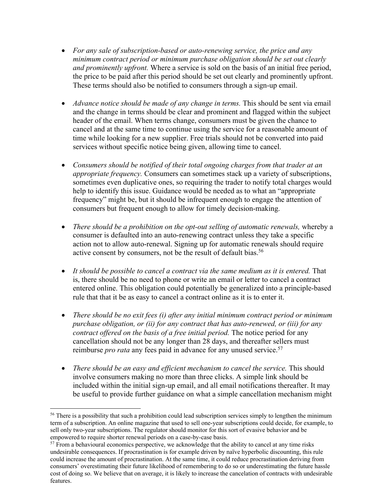- *For any sale of subscription-based or auto-renewing service, the price and any minimum contract period or minimum purchase obligation should be set out clearly and prominently upfront.* Where a service is sold on the basis of an initial free period, the price to be paid after this period should be set out clearly and prominently upfront. These terms should also be notified to consumers through a sign-up email.
- *Advance notice should be made of any change in terms.* This should be sent via email and the change in terms should be clear and prominent and flagged within the subject header of the email. When terms change, consumers must be given the chance to cancel and at the same time to continue using the service for a reasonable amount of time while looking for a new supplier. Free trials should not be converted into paid services without specific notice being given, allowing time to cancel.
- *Consumers should be notified of their total ongoing charges from that trader at an appropriate frequency.* Consumers can sometimes stack up a variety of subscriptions, sometimes even duplicative ones, so requiring the trader to notify total charges would help to identify this issue. Guidance would be needed as to what an "appropriate frequency" might be, but it should be infrequent enough to engage the attention of consumers but frequent enough to allow for timely decision-making.
- *There should be a prohibition on the opt-out selling of automatic renewals,* whereby a consumer is defaulted into an auto-renewing contract unless they take a specific action not to allow auto-renewal. Signing up for automatic renewals should require active consent by consumers, not be the result of default bias.<sup>56</sup>
- *It should be possible to cancel a contract via the same medium as it is entered.* That is, there should be no need to phone or write an email or letter to cancel a contract entered online. This obligation could potentially be generalized into a principle-based rule that that it be as easy to cancel a contract online as it is to enter it.
- *There should be no exit fees (i) after any initial minimum contract period or minimum purchase obligation, or (ii) for any contract that has auto-renewed, or (iii) for any contract offered on the basis of a free initial period.* The notice period for any cancellation should not be any longer than 28 days, and thereafter sellers must reimburse *pro rata* any fees paid in advance for any unused service. 57
- *There should be an easy and efficient mechanism to cancel the service.* This should involve consumers making no more than three clicks. A simple link should be included within the initial sign-up email, and all email notifications thereafter. It may be useful to provide further guidance on what a simple cancellation mechanism might

<sup>&</sup>lt;sup>56</sup> There is a possibility that such a prohibition could lead subscription services simply to lengthen the minimum term of a subscription. An online magazine that used to sell one-year subscriptions could decide, for example, to sell only two-year subscriptions. The regulator should monitor for this sort of evasive behavior and be empowered to require shorter renewal periods on a case-by-case basis.<br><sup>57</sup> From a behavioural economics perspective, we acknowledge that the ability to cancel at any time risks

undesirable consequences. If procrastination is for example driven by naïve hyperbolic discounting, this rule could increase the amount of procrastination. At the same time, it could reduce procrastination deriving from consumers' overestimating their future likelihood of remembering to do so or underestimating the future hassle cost of doing so. We believe that on average, it is likely to increase the cancelation of contracts with undesirable features.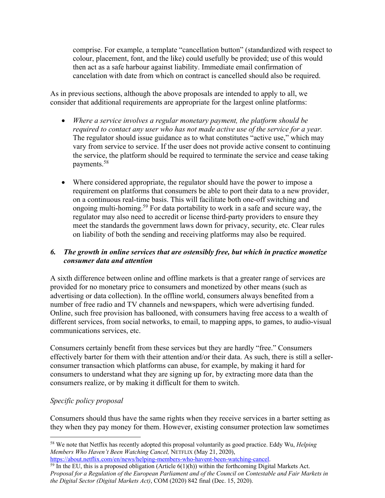comprise. For example, a template "cancellation button" (standardized with respect to colour, placement, font, and the like) could usefully be provided; use of this would then act as a safe harbour against liability. Immediate email confirmation of cancelation with date from which on contract is cancelled should also be required.

As in previous sections, although the above proposals are intended to apply to all, we consider that additional requirements are appropriate for the largest online platforms:

- *Where a service involves a regular monetary payment, the platform should be required to contact any user who has not made active use of the service for a year.* The regulator should issue guidance as to what constitutes "active use," which may vary from service to service. If the user does not provide active consent to continuing the service, the platform should be required to terminate the service and cease taking payments.58
- Where considered appropriate, the regulator should have the power to impose a requirement on platforms that consumers be able to port their data to a new provider, on a continuous real-time basis. This will facilitate both one-off switching and ongoing multi-homing.59 For data portability to work in a safe and secure way, the regulator may also need to accredit or license third-party providers to ensure they meet the standards the government laws down for privacy, security, etc. Clear rules on liability of both the sending and receiving platforms may also be required.

# *6. The growth in online services that are ostensibly free, but which in practice monetize consumer data and attention*

A sixth difference between online and offline markets is that a greater range of services are provided for no monetary price to consumers and monetized by other means (such as advertising or data collection). In the offline world, consumers always benefited from a number of free radio and TV channels and newspapers, which were advertising funded. Online, such free provision has ballooned, with consumers having free access to a wealth of different services, from social networks, to email, to mapping apps, to games, to audio-visual communications services, etc.

Consumers certainly benefit from these services but they are hardly "free." Consumers effectively barter for them with their attention and/or their data. As such, there is still a sellerconsumer transaction which platforms can abuse, for example, by making it hard for consumers to understand what they are signing up for, by extracting more data than the consumers realize, or by making it difficult for them to switch.

# *Specific policy proposal*

Consumers should thus have the same rights when they receive services in a barter setting as they when they pay money for them. However, existing consumer protection law sometimes

https://about.netflix.com/en/news/helping-members-who-havent-been-watching-cancel.

<sup>58</sup> We note that Netflix has recently adopted this proposal voluntarily as good practice. Eddy Wu, *Helping Members Who Haven't Been Watching Cancel,* NETFLIX (May 21, 2020),

 $\frac{59}{9}$  In the EU, this is a proposed obligation (Article 6(1)(h)) within the forthcoming Digital Markets Act. *Proposal for a Regulation of the European Parliament and of the Council on Contestable and Fair Markets in the Digital Sector (Digital Markets Act)*, COM (2020) 842 final (Dec. 15, 2020).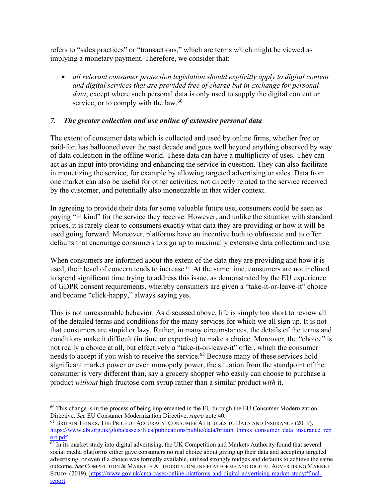refers to "sales practices" or "transactions," which are terms which might be viewed as implying a monetary payment. Therefore, we consider that:

• *all relevant consumer protection legislation should explicitly apply to digital content and digital services that are provided free of charge but in exchange for personal data*, except where such personal data is only used to supply the digital content or service, or to comply with the law.<sup>60</sup>

# *7. The greater collection and use online of extensive personal data*

The extent of consumer data which is collected and used by online firms, whether free or paid-for, has ballooned over the past decade and goes well beyond anything observed by way of data collection in the offline world. These data can have a multiplicity of uses. They can act as an input into providing and enhancing the service in question. They can also facilitate in monetizing the service, for example by allowing targeted advertising or sales. Data from one market can also be useful for other activities, not directly related to the service received by the customer, and potentially also monetizable in that wider context.

In agreeing to provide their data for some valuable future use, consumers could be seen as paying "in kind" for the service they receive. However, and unlike the situation with standard prices, it is rarely clear to consumers exactly what data they are providing or how it will be used going forward. Moreover, platforms have an incentive both to obfuscate and to offer defaults that encourage consumers to sign up to maximally extensive data collection and use.

When consumers are informed about the extent of the data they are providing and how it is used, their level of concern tends to increase. <sup>61</sup> At the same time, consumers are not inclined to spend significant time trying to address this issue, as demonstrated by the EU experience of GDPR consent requirements, whereby consumers are given a "take-it-or-leave-it" choice and become "click-happy," always saying yes.

This is not unreasonable behavior. As discussed above, life is simply too short to review all of the detailed terms and conditions for the many services for which we all sign up. It is not that consumers are stupid or lazy. Rather, in many circumstances, the details of the terms and conditions make it difficult (in time or expertise) to make a choice. Moreover, the "choice" is not really a choice at all, but effectively a "take-it-or-leave-it" offer, which the consumer needs to accept if you wish to receive the service. <sup>62</sup> Because many of these services hold significant market power or even monopoly power, the situation from the standpoint of the consumer is very different than, say a grocery shopper who easily can choose to purchase a product *without* high fructose corn syrup rather than a similar product *with* it.

 $60$  This change is in the process of being implemented in the EU through the EU Consumer Modernization Directive. *See* EU Consumer Modernization Directive, *supra* note 40.

<sup>&</sup>lt;sup>61</sup> BRITAIN THINKS, THE PRICE OF ACCURACY: CONSUMER ATTITUDES TO DATA AND INSURANCE (2019), https://www.abi.org.uk/globalassets/files/publications/public/data/britain\_thinks\_consumer\_data\_insurance\_rep ort.pdf.

 $\frac{62 \text{ In its market study into digital advertising, the UK competition and Markets Authority found that several.}$ social media platforms either gave consumers no real choice about giving up their data and accepting targeted advertising, or even if a choice was formally available, utilised strongly nudges and defaults to achieve the same outcome. *See* COMPETITION & MARKETS AUTHORITY, ONLINE PLATFORMS AND DIGITAL ADVERTISING MARKET STUDY (2019), https://www.gov.uk/cma-cases/online-platforms-and-digital-advertising-market-study#finalreport.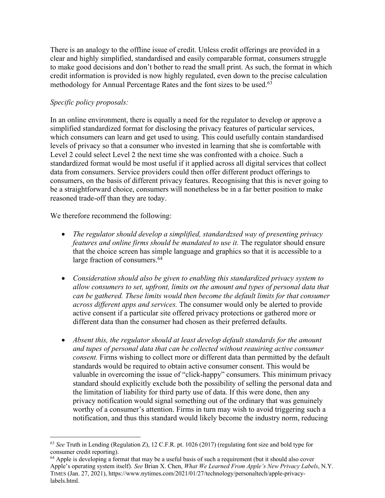There is an analogy to the offline issue of credit. Unless credit offerings are provided in a clear and highly simplified, standardised and easily comparable format, consumers struggle to make good decisions and don't bother to read the small print. As such, the format in which credit information is provided is now highly regulated, even down to the precise calculation methodology for Annual Percentage Rates and the font sizes to be used.<sup>63</sup>

#### *Specific policy proposals:*

In an online environment, there is equally a need for the regulator to develop or approve a simplified standardized format for disclosing the privacy features of particular services, which consumers can learn and get used to using. This could usefully contain standardised levels of privacy so that a consumer who invested in learning that she is comfortable with Level 2 could select Level 2 the next time she was confronted with a choice. Such a standardized format would be most useful if it applied across all digital services that collect data from consumers. Service providers could then offer different product offerings to consumers, on the basis of different privacy features. Recognising that this is never going to be a straightforward choice, consumers will nonetheless be in a far better position to make reasoned trade-off than they are today.

We therefore recommend the following:

- *The regulator should develop a simplified, standardzsed way of presenting privacy features and online firms should be mandated to use it.* The regulator should ensure that the choice screen has simple language and graphics so that it is accessible to a large fraction of consumers.<sup>64</sup>
- *Consideration should also be given to enabling this standardized privacy system to allow consumers to set, upfront, limits on the amount and types of personal data that can be gathered. These limits would then become the default limits for that consumer across different apps and services.* The consumer would only be alerted to provide active consent if a particular site offered privacy protections or gathered more or different data than the consumer had chosen as their preferred defaults.
- *Absent this, the regulator should at least develop default standards for the amount and tupes of personal data that can be collected without reauiring active consumer consent.* Firms wishing to collect more or different data than permitted by the default standards would be required to obtain active consumer consent. This would be valuable in overcoming the issue of "click-happy" consumers. This minimum privacy standard should explicitly exclude both the possibility of selling the personal data and the limitation of liability for third party use of data. If this were done, then any privacy notification would signal something out of the ordinary that was genuinely worthy of a consumer's attention. Firms in turn may wish to avoid triggering such a notification, and thus this standard would likely become the industry norm, reducing

<sup>63</sup> *See* Truth in Lending (Regulation Z), 12 C.F.R. pt. 1026 (2017) (regulating font size and bold type for consumer credit reporting).

 $64$  Apple is developing a format that may be a useful basis of such a requirement (but it should also cover Apple's operating system itself). *See* Brian X. Chen, *What We Learned From Apple's New Privacy Labels*, N.Y. TIMES (Jan. 27, 2021), https://www.nytimes.com/2021/01/27/technology/personaltech/apple-privacylabels.html.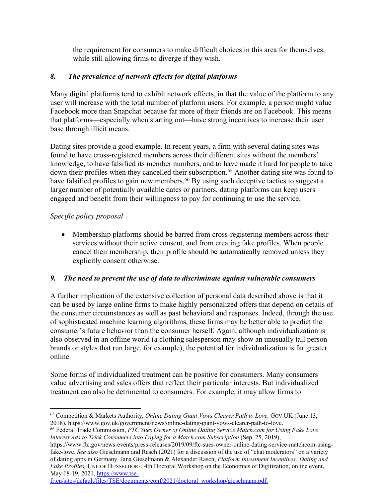the requirement for consumers to make difficult choices in this area for themselves, while still allowing firms to diverge if they wish.

# *8. The prevalence of network effects for digital platforms*

Many digital platforms tend to exhibit network effects, in that the value of the platform to any user will increase with the total number of platform users. For example, a person might value Facebook more than Snapchat because far more of their friends are on Facebook. This means that platforms—especially when starting out—have strong incentives to increase their user base through illicit means.

Dating sites provide a good example. In recent years, a firm with several dating sites was found to have cross-registered members across their different sites without the members' knowledge, to have falsified its member numbers, and to have made it hard for people to take down their profiles when they cancelled their subscription.<sup>65</sup> Another dating site was found to have falsified profiles to gain new members.<sup>66</sup> By using such deceptive tactics to suggest a larger number of potentially available dates or partners, dating platforms can keep users engaged and benefit from their willingness to pay for continuing to use the service.

# *Specific policy proposal*

• Membership platforms should be barred from cross-registering members across their services without their active consent, and from creating fake profiles. When people cancel their membership, their profile should be automatically removed unless they explicitly consent otherwise.

# *9. The need to prevent the use of data to discriminate against vulnerable consumers*

A further implication of the extensive collection of personal data described above is that it can be used by large online firms to make highly personalized offers that depend on details of the consumer circumstances as well as past behavioral and responses. Indeed, through the use of sophisticated machine learning algorithms, these firms may be better able to predict the consumer's future behavior than the consumer herself. Again, although individualization is also observed in an offline world (a clothing salesperson may show an unusually tall person brands or styles that run large, for example), the potential for individualization is far greater online.

Some forms of individualized treatment can be positive for consumers. Many consumers value advertising and sales offers that reflect their particular interests. But individualized treatment can also be detrimental to consumers. For example, it may allow firms to

fr.eu/sites/default/files/TSE/documents/conf/2021/doctoral\_workshop/gieselmann.pdf.

<sup>65</sup> Competition & Markets Authority, *Online Dating Giant Vows Clearer Path to Love,* GOV.UK (June 13, 2018), https://www.gov.uk/government/news/online-dating-giant-vows-clearer-path-to-love.

<sup>66</sup> Federal Trade Commission, *FTC Sues Owner of Online Dating Service Match.com for Using Fake Love Interest Ads to Trick Consumers into Paying for a Match.com Subscription (Sep. 25, 2019),* 

https://www.ftc.gov/news-events/press-releases/2019/09/ftc-sues-owner-online-dating-service-matchcom-usingfake-love. *See also* Gieselmann and Rasch (2021) for a discussion of the use of "chat moderators" on a variety of dating apps in Germany. Jana Gieselmann & Alexander Rasch, *Platform Investment Incentives: Dating and Fake Profiles,* UNI. OF DUSSELDORF, 4th Doctoral Workshop on the Economics of Digitization, online event, May 18-19, 2021, https://www.tse-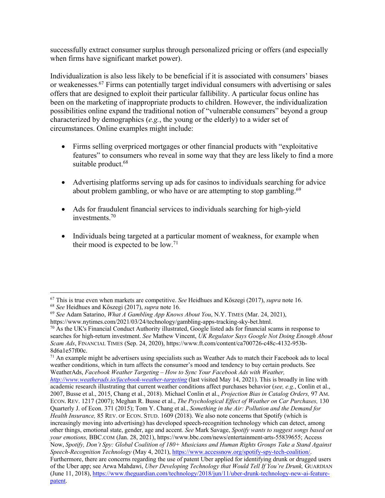successfully extract consumer surplus through personalized pricing or offers (and especially when firms have significant market power).

Individualization is also less likely to be beneficial if it is associated with consumers' biases or weakenesses. <sup>67</sup> Firms can potentially target individual consumers with advertising or sales offers that are designed to exploit their particular fallibility. A particular focus online has been on the marketing of inappropriate products to children. However, the individualization possibilities online expand the traditional notion of "vulnerable consumers" beyond a group characterized by demographics (*e.g.*, the young or the elderly) to a wider set of circumstances. Online examples might include:

- Firms selling overpriced mortgages or other financial products with "exploitative features" to consumers who reveal in some way that they are less likely to find a more suitable product.<sup>68</sup>
- Advertising platforms serving up ads for casinos to individuals searching for advice about problem gambling, or who have or are attempting to stop gambling.<sup>69</sup>
- Ads for fraudulent financial services to individuals searching for high-yield investments. 70
- Individuals being targeted at a particular moment of weakness, for example when their mood is expected to be  $low.^{71}$

 $71$  An example might be advertisers using specialists such as Weather Ads to match their Facebook ads to local weather conditions, which in turn affects the consumer's mood and tendency to buy certain products. See WeatherAds, *Facebook Weather Targeting – How to Sync Your Facebook Ads with Weather, http://www.weatherads.io/facebook-weather-targeting* (last visited May 14, 2021). This is broadly in line with academic research illustrating that current weather conditions affect purchases behavior (*see, e.g.*, Conlin et al., 2007, Busse et al., 2015, Chang et al., 2018). Michael Conlin et al., *Projection Bias in Catalog Orders,* 97 AM. ECON. REV. 1217 (2007); Meghan R. Busse et al., *The Psychological Effect of Weather on Car Purchases,* 130 Quarterly J. of Econ. 371 (2015); Tom Y. Chang et al., *Something in the Air: Pollution and the Demand for* 

*Health Insurance,* 85 REV. OF ECON. STUD. 1609 (2018). We also note concerns that Spotify (which is increasingly moving into advertising) has developed speech-recognition technology which can detect, among other things, emotional state, gender, age and accent. *See* Mark Savage, *Spotify wants to suggest songs based on your emotions,* BBC.COM (Jan. 28, 2021), https://www.bbc.com/news/entertainment-arts-55839655; Access Now, *Spotify, Don't Spy: Global Coalition of 180+ Musicians and Human Rights Groups Take a Stand Against Speech-Recognition Technology* (May 4, 2021), https://www.accessnow.org/spotify-spy-tech-coalition/. Furthermore, there are concerns regarding the use of patent Uber applied for identifying drunk or drugged users of the Uber app; see Arwa Mahdawi, *Uber Developing Technology that Would Tell If You're Drunk,* GUARDIAN (June 11, 2018), https://www.theguardian.com/technology/2018/jun/11/uber-drunk-technology-new-ai-feature-

<sup>67</sup> This is true even when markets are competitive. *See* Heidhues and Kőszegi (2017), *supra* note 16.

<sup>68</sup> *See* Heidhues and Kőszegi (2017), *supra* note 16.

<sup>&</sup>lt;sup>69</sup> *See* Adam Satarino, *What A Gambling App Knows About You*, N.Y. TIMES (Mar. 24, 2021), https://www.nytimes.com/2021/03/24/technology/gambling-apps-tracking-sky-bet.html.

 $\frac{70}{10}$  As the UK's Financial Conduct Authority illustrated, Google listed ads for financial scams in response to searches for high-return investment. *See* Mathew Vincent, *UK Regulator Says Google Not Doing Enough About Scam Ads*, FINANCIAL TIMES (Sep. 24, 2020), https://www.ft.com/content/ca700726-c48c-4132-953b-8d6a1e57f00c.

patent.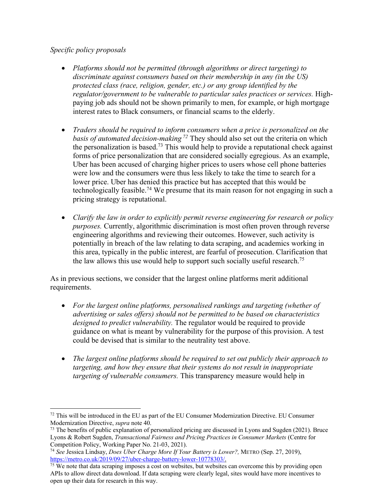# *Specific policy proposals*

- *Platforms should not be permitted (through algorithms or direct targeting) to discriminate against consumers based on their membership in any (in the US) protected class (race, religion, gender, etc.) or any group identified by the regulator/government to be vulnerable to particular sales practices or services.* Highpaying job ads should not be shown primarily to men, for example, or high mortgage interest rates to Black consumers, or financial scams to the elderly.
- *Traders should be required to inform consumers when a price is personalized on the basis of automated decision-making <sup>72</sup>* They should also set out the criteria on which the personalization is based.<sup>73</sup> This would help to provide a reputational check against forms of price personalization that are considered socially egregious. As an example, Uber has been accused of charging higher prices to users whose cell phone batteries were low and the consumers were thus less likely to take the time to search for a lower price. Uber has denied this practice but has accepted that this would be technologically feasible.<sup>74</sup> We presume that its main reason for not engaging in such a pricing strategy is reputational.
- *Clarify the law in order to explicitly permit reverse engineering for research or policy purposes.* Currently, algorithmic discrimination is most often proven through reverse engineering algorithms and reviewing their outcomes. However, such activity is potentially in breach of the law relating to data scraping, and academics working in this area, typically in the public interest, are fearful of prosecution. Clarification that the law allows this use would help to support such socially useful research.<sup>75</sup>

As in previous sections, we consider that the largest online platforms merit additional requirements.

- *For the largest online platforms, personalised rankings and targeting (whether of advertising or sales offers) should not be permitted to be based on characteristics designed to predict vulnerability.* The regulator would be required to provide guidance on what is meant by vulnerability for the purpose of this provision. A test could be devised that is similar to the neutrality test above.
- *The largest online platforms should be required to set out publicly their approach to targeting, and how they ensure that their systems do not result in inappropriate targeting of vulnerable consumers.* This transparency measure would help in

 $72$  This will be introduced in the EU as part of the EU Consumer Modernization Directive. EU Consumer Modernization Directive, *supra* note 40.

<sup>&</sup>lt;sup>73</sup> The benefits of public explanation of personalized pricing are discussed in Lyons and Sugden (2021). Bruce Lyons & Robert Sugden, *Transactional Fairness and Pricing Practices in Consumer Markets* (Centre for Competition Policy, Working Paper No. 21-03, 2021).

<sup>74</sup> *See* Jessica Lindsay, *Does Uber Charge More If Your Battery is Lower?,* METRO (Sep. 27, 2019), https://metro.co.uk/2019/09/27/uber-charge-battery-lower-10778303/.

<sup>&</sup>lt;sup>75</sup> We note that data scraping imposes a cost on websites, but websites can overcome this by providing open APIs to allow direct data download. If data scraping were clearly legal, sites would have more incentives to open up their data for research in this way.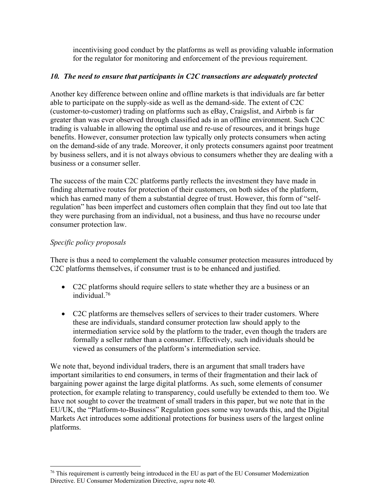incentivising good conduct by the platforms as well as providing valuable information for the regulator for monitoring and enforcement of the previous requirement.

# *10. The need to ensure that participants in C2C transactions are adequately protected*

Another key difference between online and offline markets is that individuals are far better able to participate on the supply-side as well as the demand-side. The extent of C2C (customer-to-customer) trading on platforms such as eBay, Craigslist, and Airbnb is far greater than was ever observed through classified ads in an offline environment. Such C2C trading is valuable in allowing the optimal use and re-use of resources, and it brings huge benefits. However, consumer protection law typically only protects consumers when acting on the demand-side of any trade. Moreover, it only protects consumers against poor treatment by business sellers, and it is not always obvious to consumers whether they are dealing with a business or a consumer seller.

The success of the main C2C platforms partly reflects the investment they have made in finding alternative routes for protection of their customers, on both sides of the platform, which has earned many of them a substantial degree of trust. However, this form of "selfregulation" has been imperfect and customers often complain that they find out too late that they were purchasing from an individual, not a business, and thus have no recourse under consumer protection law.

# *Specific policy proposals*

There is thus a need to complement the valuable consumer protection measures introduced by C2C platforms themselves, if consumer trust is to be enhanced and justified.

- C2C platforms should require sellers to state whether they are a business or an individual. 76
- C2C platforms are themselves sellers of services to their trader customers. Where these are individuals, standard consumer protection law should apply to the intermediation service sold by the platform to the trader, even though the traders are formally a seller rather than a consumer. Effectively, such individuals should be viewed as consumers of the platform's intermediation service.

We note that, beyond individual traders, there is an argument that small traders have important similarities to end consumers, in terms of their fragmentation and their lack of bargaining power against the large digital platforms. As such, some elements of consumer protection, for example relating to transparency, could usefully be extended to them too. We have not sought to cover the treatment of small traders in this paper, but we note that in the EU/UK, the "Platform-to-Business" Regulation goes some way towards this, and the Digital Markets Act introduces some additional protections for business users of the largest online platforms.

 $76$  This requirement is currently being introduced in the EU as part of the EU Consumer Modernization Directive. EU Consumer Modernization Directive, *supra* note 40.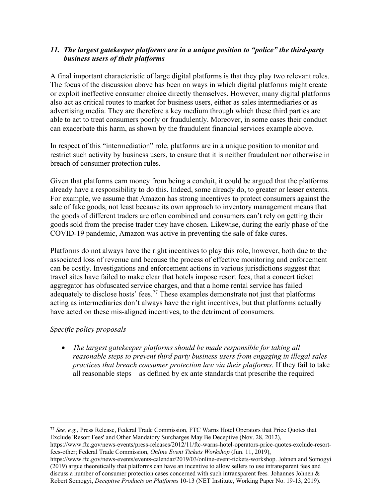# *11. The largest gatekeeper platforms are in a unique position to "police" the third-party business users of their platforms*

A final important characteristic of large digital platforms is that they play two relevant roles. The focus of the discussion above has been on ways in which digital platforms might create or exploit ineffective consumer choice directly themselves. However, many digital platforms also act as critical routes to market for business users, either as sales intermediaries or as advertising media. They are therefore a key medium through which these third parties are able to act to treat consumers poorly or fraudulently. Moreover, in some cases their conduct can exacerbate this harm, as shown by the fraudulent financial services example above.

In respect of this "intermediation" role, platforms are in a unique position to monitor and restrict such activity by business users, to ensure that it is neither fraudulent nor otherwise in breach of consumer protection rules.

Given that platforms earn money from being a conduit, it could be argued that the platforms already have a responsibility to do this. Indeed, some already do, to greater or lesser extents. For example, we assume that Amazon has strong incentives to protect consumers against the sale of fake goods, not least because its own approach to inventory management means that the goods of different traders are often combined and consumers can't rely on getting their goods sold from the precise trader they have chosen. Likewise, during the early phase of the COVID-19 pandemic, Amazon was active in preventing the sale of fake cures.

Platforms do not always have the right incentives to play this role, however, both due to the associated loss of revenue and because the process of effective monitoring and enforcement can be costly. Investigations and enforcement actions in various jurisdictions suggest that travel sites have failed to make clear that hotels impose resort fees, that a concert ticket aggregator has obfuscated service charges, and that a home rental service has failed adequately to disclose hosts' fees.<sup>77</sup> These examples demonstrate not just that platforms acting as intermediaries don't always have the right incentives, but that platforms actually have acted on these mis-aligned incentives, to the detriment of consumers.

# *Specific policy proposals*

• *The largest gatekeeper platforms should be made responsible for taking all reasonable steps to prevent third party business users from engaging in illegal sales practices that breach consumer protection law via their platforms.* If they fail to take all reasonable steps – as defined by ex ante standards that prescribe the required

https://www.ftc.gov/news-events/events-calendar/2019/03/online-event-tickets-workshop. Johnen and Somogyi (2019) argue theoretically that platforms can have an incentive to allow sellers to use intransparent fees and discuss a number of consumer protection cases concerned with such intransparent fees*.* Johannes Johnen & Robert Somogyi, *Deceptive Products on Platforms* 10-13 (NET Institute, Working Paper No. 19-13, 2019).

<sup>77</sup> *See, e.g.*, Press Release, Federal Trade Commission, FTC Warns Hotel Operators that Price Quotes that Exclude 'Resort Fees' and Other Mandatory Surcharges May Be Deceptive (Nov. 28, 2012),

https://www.ftc.gov/news-events/press-releases/2012/11/ftc-warns-hotel-operators-price-quotes-exclude-resortfees-other; Federal Trade Commission, *Online Event Tickets Workshop* (Jun. 11, 2019),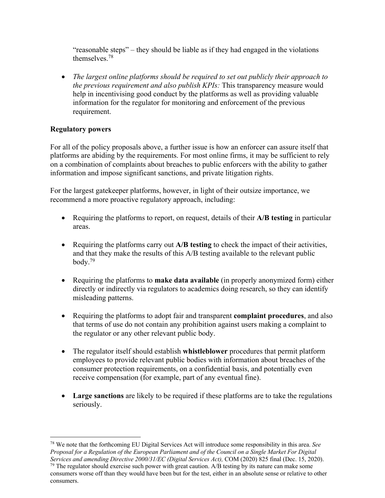"reasonable steps" – they should be liable as if they had engaged in the violations themselves.78

• *The largest online platforms should be required to set out publicly their approach to the previous requirement and also publish KPIs:* This transparency measure would help in incentivising good conduct by the platforms as well as providing valuable information for the regulator for monitoring and enforcement of the previous requirement.

# **Regulatory powers**

consumers.

For all of the policy proposals above, a further issue is how an enforcer can assure itself that platforms are abiding by the requirements. For most online firms, it may be sufficient to rely on a combination of complaints about breaches to public enforcers with the ability to gather information and impose significant sanctions, and private litigation rights.

For the largest gatekeeper platforms, however, in light of their outsize importance, we recommend a more proactive regulatory approach, including:

- Requiring the platforms to report, on request, details of their **A/B testing** in particular areas.
- Requiring the platforms carry out **A/B testing** to check the impact of their activities, and that they make the results of this A/B testing available to the relevant public body.79
- Requiring the platforms to **make data available** (in properly anonymized form) either directly or indirectly via regulators to academics doing research, so they can identify misleading patterns.
- Requiring the platforms to adopt fair and transparent **complaint procedures**, and also that terms of use do not contain any prohibition against users making a complaint to the regulator or any other relevant public body.
- The regulator itself should establish **whistleblower** procedures that permit platform employees to provide relevant public bodies with information about breaches of the consumer protection requirements, on a confidential basis, and potentially even receive compensation (for example, part of any eventual fine).
- **Large sanctions** are likely to be required if these platforms are to take the regulations seriously.

<sup>78</sup> We note that the forthcoming EU Digital Services Act will introduce some responsibility in this area. *See Proposal for a Regulation of the European Parliament and of the Council on a Single Market For Digital Services and amending Directive 2000/31/EC (Digital Services Act),* COM (2020) 825 final (Dec. 15, 2020). <sup>79</sup> The regulator should exercise such power with great caution. A/B testing by its nature can make some consumers worse off than they would have been but for the test, either in an absolute sense or relative to other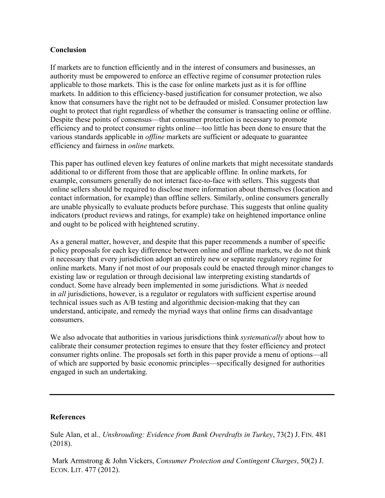#### **Conclusion**

If markets are to function efficiently and in the interest of consumers and businesses, an authority must be empowered to enforce an effective regime of consumer protection rules applicable to those markets. This is the case for online markets just as it is for offline markets. In addition to this efficiency-based justification for consumer protection, we also know that consumers have the right not to be defrauded or misled. Consumer protection law ought to protect that right regardless of whether the consumer is transacting online or offline. Despite these points of consensus—that consumer protection is necessary to promote efficiency and to protect consumer rights online—too little has been done to ensure that the various standards applicable in *offline* markets are sufficient or adequate to guarantee efficiency and fairness in *online* markets.

This paper has outlined eleven key features of online markets that might necessitate standards additional to or different from those that are applicable offline. In online markets, for example, consumers generally do not interact face-to-face with sellers. This suggests that online sellers should be required to disclose more information about themselves (location and contact information, for example) than offline sellers. Similarly, online consumers generally are unable physically to evaluate products before purchase. This suggests that online quality indicators (product reviews and ratings, for example) take on heightened importance online and ought to be policed with heightened scrutiny.

As a general matter, however, and despite that this paper recommends a number of specific policy proposals for each key difference between online and offline markets, we do not think it necessary that every jurisdiction adopt an entirely new or separate regulatory regime for online markets. Many if not most of our proposals could be enacted through minor changes to existing law or regulation or through decisional law interpreting existing standartds of conduct. Some have already been implemented in some jurisdictions*.* What *is* needed in *all* jurisdictions, however, is a regulator or regulators with sufficient expertise around technical issues such as A/B testing and algorithmic decision-making that they can understand, anticipate, and remedy the myriad ways that online firms can disadvantage consumers.

We also advocate that authorities in various jurisdictions think *systematically* about how to calibrate their consumer protection regimes to ensure that they foster efficiency and protect consumer rights online. The proposals set forth in this paper provide a menu of options—all of which are supported by basic economic principles—specifically designed for authorities engaged in such an undertaking.

#### **References**

Sule Alan, et al*., Unshrouding: Evidence from Bank Overdrafts in Turkey*, 73(2) J. FIN. 481 (2018).

Mark Armstrong & John Vickers, *Consumer Protection and Contingent Charges*, 50(2) J. ECON. LIT. 477 (2012).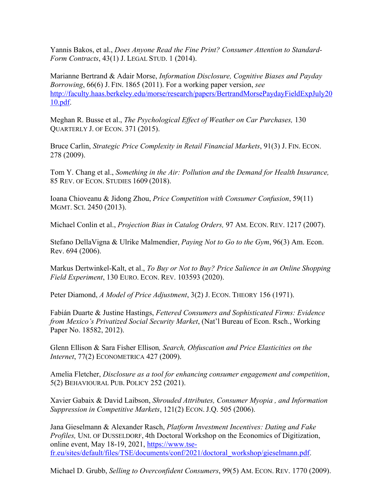Yannis Bakos, et al., *Does Anyone Read the Fine Print? Consumer Attention to Standard-Form Contracts*, 43(1) J. LEGAL STUD. 1 (2014).

Marianne Bertrand & Adair Morse, *Information Disclosure, Cognitive Biases and Payday Borrowing*, 66(6) J. FIN. 1865 (2011). For a working paper version, *see* [http://faculty.haas.berkeley.edu/morse/research/papers/BertrandMorsePaydayFieldExpJuly2](http://faculty.haas.berkeley.edu/morse/research/papers/BertrandMorsePaydayFieldExpJuly2010.pdf)0 [10.pdf](http://faculty.haas.berkeley.edu/morse/research/papers/BertrandMorsePaydayFieldExpJuly2010.pdf).

Meghan R. Busse et al., *The Psychological Effect of Weather on Car Purchases,* 130 QUARTERLY J. OF ECON. 371 (2015).

Bruce Carlin, *Strategic Price Complexity in Retail Financial Markets*, 91(3) J. FIN. ECON. 278 (2009).

Tom Y. Chang et al., *Something in the Air: Pollution and the Demand for Health Insurance,*  85 REV. OF ECON. STUDIES 1609 (2018).

Ioana Chioveanu & Jidong Zhou, *Price Competition with Consumer Confusion*, 59(11) MGMT. SCI. 2450 (2013).

Michael Conlin et al., *Projection Bias in Catalog Orders,* 97 AM. ECON. REV. 1217 (2007).

Stefano DellaVigna & Ulrike Malmendier, *Paying Not to Go to the Gym*, 96(3) Am. Econ. Rev. 694 (2006).

Markus Dertwinkel-Kalt, et al., *To Buy or Not to Buy? Price Salience in an Online Shopping Field Experiment*, 130 EURO. ECON. REV. 103593 (2020).

Peter Diamond, *A Model of Price Adjustment*, 3(2) J. ECON. THEORY 156 (1971).

Fabián Duarte & Justine Hastings, *Fettered Consumers and Sophisticated Firms: Evidence from Mexico's Privatized Social Security Market*, (Nat'l Bureau of Econ. Rsch., Working Paper No. 18582, 2012).

Glenn Ellison & Sara Fisher Ellison*, Search, Obfuscation and Price Elasticities on the Internet*, 77(2) ECONOMETRICA 427 (2009).

Amelia Fletcher, *Disclosure as a tool for enhancing consumer engagement and competition*, 5(2) BEHAVIOURAL PUB. POLICY 252 (2021).

Xavier Gabaix & David Laibson, *Shrouded Attributes, Consumer Myopia , and Information Suppression in Competitive Markets*, 121(2) ECON. J.Q. 505 (2006).

Jana Gieselmann & Alexander Rasch, *Platform Investment Incentives: Dating and Fake Profiles,* UNI. OF DUSSELDORF, 4th Doctoral Workshop on the Economics of Digitization, online event, May 18-19, 2021, [https://www.tse](https://www.tse-fr.eu/sites/default/files/TSE/documents/conf/2021/doctoral_workshop/gieselmann.pdf)[fr.eu/sites/default/files/TSE/documents/conf/2021/doctoral\\_workshop/gieselmann.pdf](https://www.tse-fr.eu/sites/default/files/TSE/documents/conf/2021/doctoral_workshop/gieselmann.pdf).

Michael D. Grubb, *Selling to Overconfident Consumers*, 99(5) AM. ECON. REV. 1770 (2009).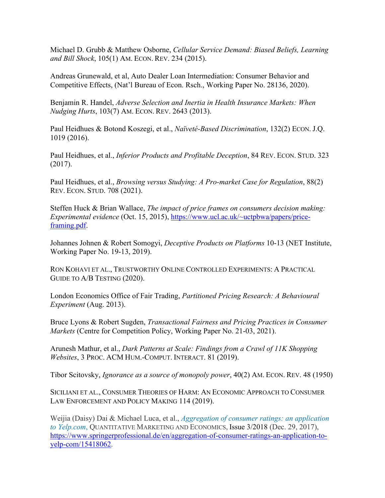Michael D. Grubb & Matthew Osborne, *Cellular Service Demand: Biased Beliefs, Learning and Bill Shock*, 105(1) AM. ECON. REV. 234 (2015).

Andreas Grunewald, et al, Auto Dealer Loan Intermediation: Consumer Behavior and Competitive Effects, (Nat'l Bureau of Econ. Rsch., Working Paper No. 28136, 2020).

Benjamin R. Handel, *Adverse Selection and Inertia in Health Insurance Markets: When Nudging Hurts*, 103(7) AM. ECON. REV. 2643 (2013).

Paul Heidhues & Botond Koszegi, et al., *Naïveté-Based Discrimination*, 132(2) ECON. J.Q. 1019 (2016).

Paul Heidhues, et al., *Inferior Products and Profitable Deception*, 84 REV. ECON. STUD. 323 (2017).

Paul Heidhues, et al., *Browsing versus Studying: A Pro-market Case for Regulation*, 88(2) REV. ECON. STUD. 708 (2021).

Steffen Huck & Brian Wallace, *The impact of price frames on consumers decision making: Experimental evidence* (Oct. 15, 2015), [https://www.ucl.ac.uk/~uctpbwa/papers/price](https://www.ucl.ac.uk/~uctpbwa/papers/price-framing.pdf)[framing.pdf](https://www.ucl.ac.uk/~uctpbwa/papers/price-framing.pdf).

Johannes Johnen & Robert Somogyi, *Deceptive Products on Platforms* 10-13 (NET Institute, Working Paper No. 19-13, 2019).

RON KOHAVI ET AL., TRUSTWORTHY ONLINE CONTROLLED EXPERIMENTS: A PRACTICAL GUIDE TO A/B TESTING (2020).

London Economics Office of Fair Trading, *Partitioned Pricing Research: A Behavioural Experiment* (Aug. 2013).

Bruce Lyons & Robert Sugden, *Transactional Fairness and Pricing Practices in Consumer Markets* (Centre for Competition Policy, Working Paper No. 21-03, 2021).

Arunesh Mathur, et al., *Dark Patterns at Scale: Findings from a Crawl of 11K Shopping Websites*, 3 PROC. ACM HUM.-COMPUT. INTERACT. 81 (2019).

Tibor Scitovsky, *Ignorance as a source of monopoly power*, 40(2) AM. ECON. REV. 48 (1950)

SICILIANI ET AL., CONSUMER THEORIES OF HARM: AN ECONOMIC APPROACH TO CONSUMER LAW ENFORCEMENT AND POLICY MAKING 114 (2019).

Weijia (Daisy) Dai & Michael Luca, et al., *Aggregation of consumer ratings: an application to Yelp.com*, QUANTITATIVE MARKETING AND ECONOMICS, [Issue 3/2018](https://www.springerprofessional.de/en/quantitative-marketing-and-economics-3-2018/16013892) (Dec. 29, 2017), [https://www.springerprofessional.de/en/aggregation-of-consumer-ratings-an-application-to](https://www.springerprofessional.de/en/aggregation-of-consumer-ratings-an-application-to-yelp-com/15418062)[yelp-com/15418062](https://www.springerprofessional.de/en/aggregation-of-consumer-ratings-an-application-to-yelp-com/15418062).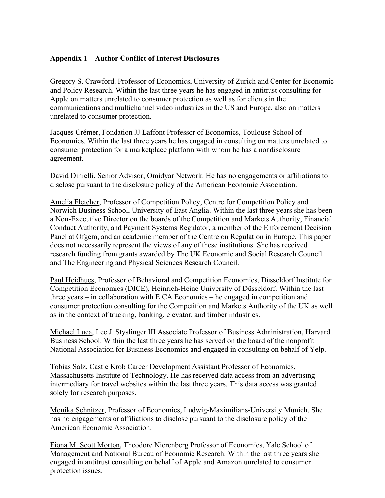#### **Appendix 1 – Author Conflict of Interest Disclosures**

Gregory S. Crawford, Professor of Economics, University of Zurich and Center for Economic and Policy Research. Within the last three years he has engaged in antitrust consulting for Apple on matters unrelated to consumer protection as well as for clients in the communications and multichannel video industries in the US and Europe, also on matters unrelated to consumer protection.

Jacques Crémer, Fondation JJ Laffont Professor of Economics, Toulouse School of Economics. Within the last three years he has engaged in consulting on matters unrelated to consumer protection for a marketplace platform with whom he has a nondisclosure agreement.

David Dinielli, Senior Advisor, Omidyar Network. He has no engagements or affiliations to disclose pursuant to the disclosure policy of the American Economic Association.

Amelia Fletcher, Professor of Competition Policy, Centre for Competition Policy and Norwich Business School, University of East Anglia. Within the last three years she has been a Non-Executive Director on the boards of the Competition and Markets Authority, Financial Conduct Authority, and Payment Systems Regulator, a member of the Enforcement Decision Panel at Ofgem, and an academic member of the Centre on Regulation in Europe. This paper does not necessarily represent the views of any of these institutions. She has received research funding from grants awarded by The UK Economic and Social Research Council and The Engineering and Physical Sciences Research Council.

Paul Heidhues, Professor of Behavioral and Competition Economics, Düsseldorf Institute for Competition Economics (DICE), Heinrich-Heine University of Düsseldorf. Within the last three years – in collaboration with E.CA Economics – he engaged in competition and consumer protection consulting for the Competition and Markets Authority of the UK as well as in the context of trucking, banking, elevator, and timber industries.

Michael Luca, Lee J. Styslinger III Associate Professor of Business Administration, Harvard Business School. Within the last three years he has served on the board of the nonprofit National Association for Business Economics and engaged in consulting on behalf of Yelp.

Tobias Salz, Castle Krob Career Development Assistant Professor of Economics, Massachusetts Institute of Technology. He has received data access from an advertising intermediary for travel websites within the last three years. This data access was granted solely for research purposes.

Monika Schnitzer, Professor of Economics, Ludwig-Maximilians-University Munich. She has no engagements or affiliations to disclose pursuant to the disclosure policy of the American Economic Association.

Fiona M. Scott Morton, Theodore Nierenberg Professor of Economics, Yale School of Management and National Bureau of Economic Research. Within the last three years she engaged in antitrust consulting on behalf of Apple and Amazon unrelated to consumer protection issues.